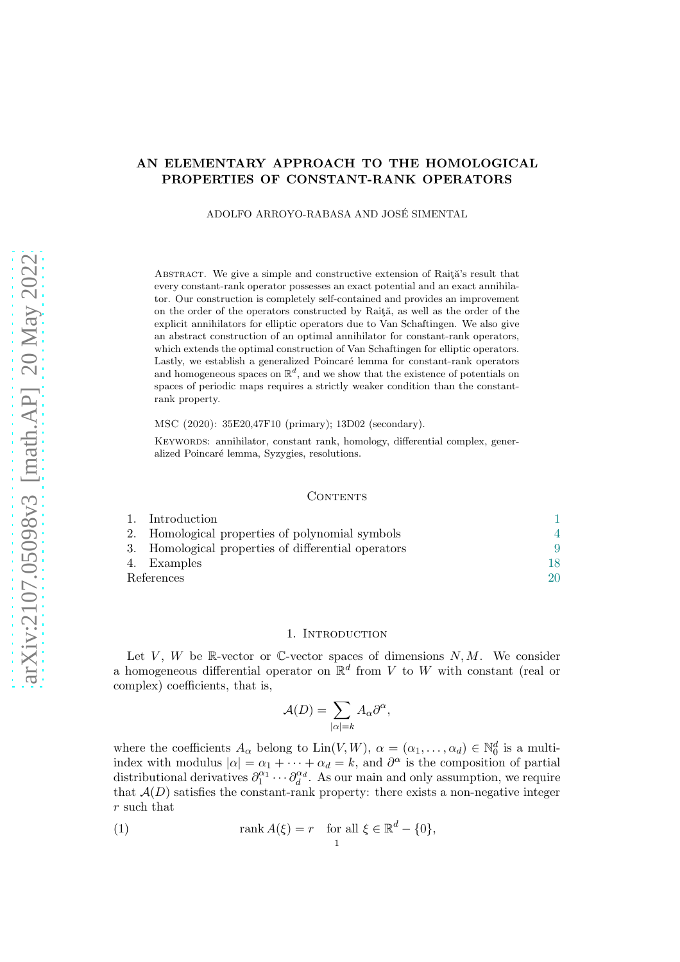# AN ELEMENTARY APPROACH TO THE HOMOLOGICAL PROPERTIES OF CONSTANT-RANK OPERATORS

ADOLFO ARROYO-RABASA AND JOSE SIMENTAL ´

ABSTRACT. We give a simple and constructive extension of Raita's result that every constant-rank operator possesses an exact potential and an exact annihilator. Our construction is completely self-contained and provides an improvement on the order of the operators constructed by Raită, as well as the order of the explicit annihilators for elliptic operators due to Van Schaftingen. We also give an abstract construction of an optimal annihilator for constant-rank operators, which extends the optimal construction of Van Schaftingen for elliptic operators. Lastly, we establish a generalized Poincaré lemma for constant-rank operators and homogeneous spaces on  $\mathbb{R}^d$ , and we show that the existence of potentials on spaces of periodic maps requires a strictly weaker condition than the constantrank property.

MSC (2020): 35E20,47F10 (primary); 13D02 (secondary).

KEYWORDS: annihilator, constant rank, homology, differential complex, generalized Poincaré lemma, Syzygies, resolutions.

### **CONTENTS**

|            | 1. Introduction                                     |  |
|------------|-----------------------------------------------------|--|
|            | 2. Homological properties of polynomial symbols     |  |
|            | 3. Homological properties of differential operators |  |
|            | 4. Examples                                         |  |
| References |                                                     |  |

#### 1. INTRODUCTION

<span id="page-0-0"></span>Let V, W be R-vector or C-vector spaces of dimensions  $N, M$ . We consider a homogeneous differential operator on  $\mathbb{R}^d$  from V to W with constant (real or complex) coefficients, that is,

$$
\mathcal{A}(D) = \sum_{|\alpha|=k} A_{\alpha} \partial^{\alpha},
$$

where the coefficients  $A_{\alpha}$  belong to  $\text{Lin}(V, W)$ ,  $\alpha = (\alpha_1, \dots, \alpha_d) \in \mathbb{N}_0^d$  is a multiindex with modulus  $|\alpha| = \alpha_1 + \cdots + \alpha_d = k$ , and  $\partial^{\alpha}$  is the composition of partial distributional derivatives  $\partial_1^{\alpha_1} \cdots \partial_d^{\alpha_d}$ . As our main and only assumption, we require that  $A(D)$  satisfies the constant-rank property: there exists a non-negative integer r such that

<span id="page-0-1"></span>(1) 
$$
\operatorname{rank} A(\xi) = r \quad \text{for all } \xi \in \mathbb{R}^d - \{0\},
$$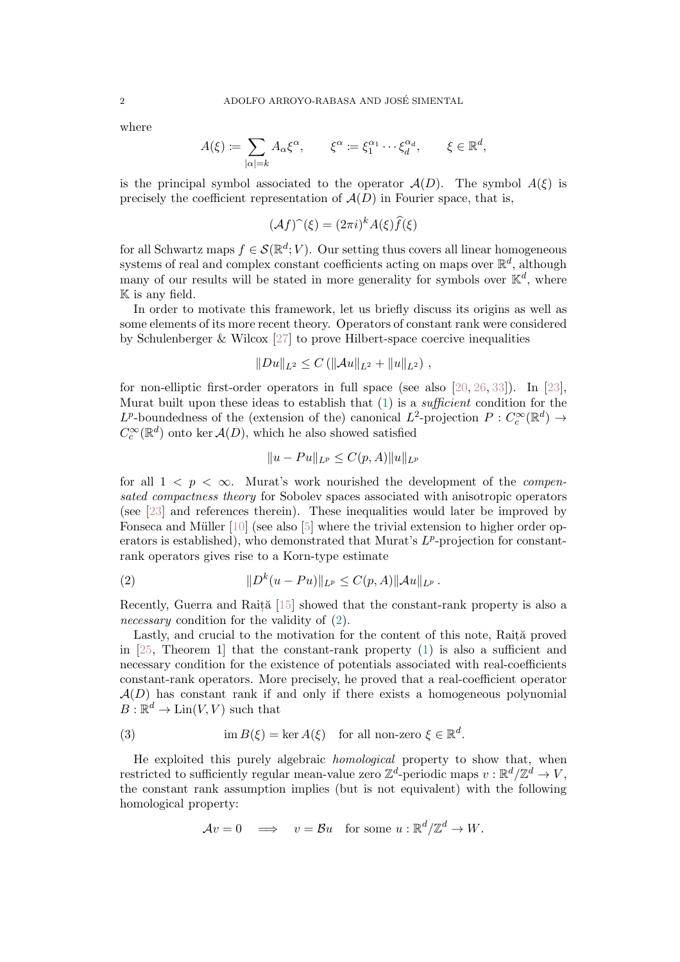where

$$
A(\xi) := \sum_{|\alpha|=k} A_{\alpha} \xi^{\alpha}, \qquad \xi^{\alpha} := \xi_1^{\alpha_1} \cdots \xi_d^{\alpha_d}, \qquad \xi \in \mathbb{R}^d,
$$

is the principal symbol associated to the operator  $A(D)$ . The symbol  $A(\xi)$  is precisely the coefficient representation of  $A(D)$  in Fourier space, that is,

$$
(\mathcal{A}f)^{\sim}(\xi) = (2\pi i)^k A(\xi) \widehat{f}(\xi)
$$

for all Schwartz maps  $f \in \mathcal{S}(\mathbb{R}^d; V)$ . Our setting thus covers all linear homogeneous systems of real and complex constant coefficients acting on maps over  $\mathbb{R}^d$ , although many of our results will be stated in more generality for symbols over  $\mathbb{K}^d$ , where K is any field.

In order to motivate this framework, let us briefly discuss its origins as well as some elements of its more recent theory. Operators of constant rank were considered by Schulenberger  $&$  Wilcox [\[27\]](#page-20-0) to prove Hilbert-space coercive inequalities

$$
||Du||_{L^2}\leq C\left(||\mathcal{A}u||_{L^2}+||u||_{L^2}\right),
$$

for non-elliptic first-order operators in full space (see also [\[20,](#page-20-1) [26,](#page-20-2) [33\]](#page-21-0)). In [\[23\]](#page-20-3), Murat built upon these ideas to establish that  $(1)$  is a *sufficient* condition for the  $L^p$ -boundedness of the (extension of the) canonical  $L^2$ -projection  $P: C_c^{\infty}(\mathbb{R}^d) \to$  $C_c^{\infty}(\mathbb{R}^d)$  onto ker  $\mathcal{A}(D)$ , which he also showed satisfied

<span id="page-1-0"></span>
$$
||u - Pu||_{L^p} \le C(p, A) ||u||_{L^p}
$$

for all  $1 \leq p \leq \infty$ . Murat's work nourished the development of the *compen*sated compactness theory for Sobolev spaces associated with anisotropic operators (see [\[23\]](#page-20-3) and references therein). These inequalities would later be improved by Fonseca and Müller  $[10]$  (see also  $[5]$  where the trivial extension to higher order operators is established), who demonstrated that Murat's  $L^p$ -projection for constantrank operators gives rise to a Korn-type estimate

(2) 
$$
||D^{k}(u - Pu)||_{L^{p}} \leq C(p, A) ||Au||_{L^{p}}.
$$

Recently, Guerra and Rait $\tilde{a}$  [\[15\]](#page-20-6) showed that the constant-rank property is also a necessary condition for the validity of  $(2)$ .

Lastly, and crucial to the motivation for the content of this note, Raită proved in [\[25,](#page-20-7) Theorem 1] that the constant-rank property [\(1\)](#page-0-1) is also a sufficient and necessary condition for the existence of potentials associated with real-coefficients constant-rank operators. More precisely, he proved that a real-coefficient operator  $A(D)$  has constant rank if and only if there exists a homogeneous polynomial  $B: \mathbb{R}^d \to \text{Lin}(V, V)$  such that

(3) 
$$
\operatorname{im} B(\xi) = \ker A(\xi) \quad \text{for all non-zero } \xi \in \mathbb{R}^d.
$$

He exploited this purely algebraic homological property to show that, when restricted to sufficiently regular mean-value zero  $\mathbb{Z}^d$ -periodic maps  $v : \mathbb{R}^d / \mathbb{Z}^d \to V$ , the constant rank assumption implies (but is not equivalent) with the following homological property:

<span id="page-1-1"></span>
$$
\mathcal{A}v = 0 \quad \Longrightarrow \quad v = \mathcal{B}u \quad \text{for some } u : \mathbb{R}^d/\mathbb{Z}^d \to W.
$$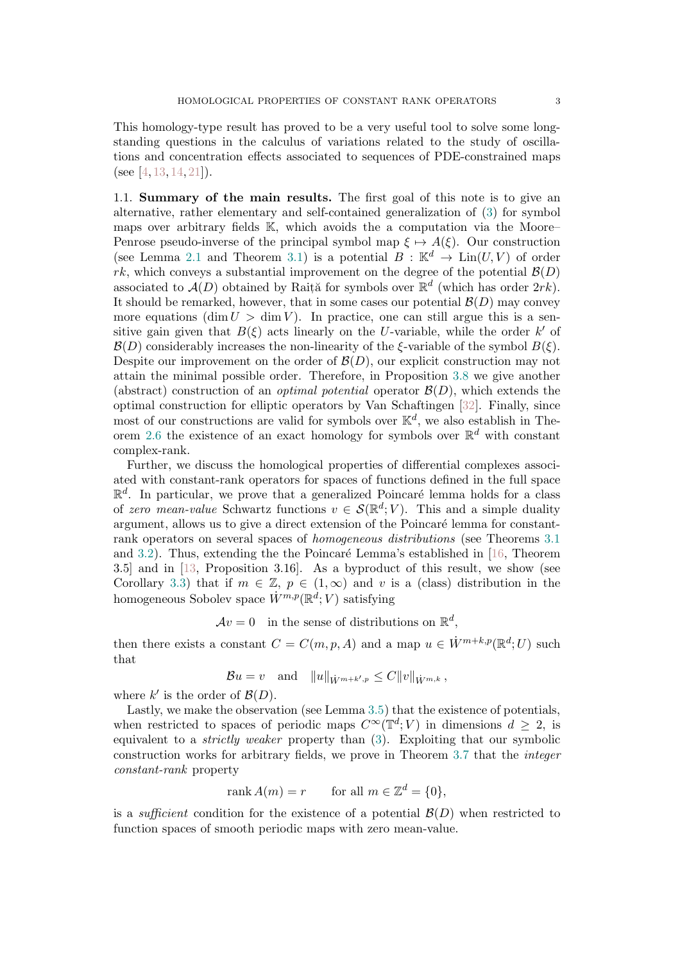This homology-type result has proved to be a very useful tool to solve some longstanding questions in the calculus of variations related to the study of oscillations and concentration effects associated to sequences of PDE-constrained maps (see [\[4,](#page-20-8) [13,](#page-20-9) [14,](#page-20-10) [21\]](#page-20-11)).

1.1. Summary of the main results. The first goal of this note is to give an alternative, rather elementary and self-contained generalization of [\(3\)](#page-1-1) for symbol maps over arbitrary fields K, which avoids the a computation via the Moore– Penrose pseudo-inverse of the principal symbol map  $\xi \mapsto A(\xi)$ . Our construction (see Lemma [2.1](#page-4-0) and Theorem [3.1\)](#page-9-0) is a potential  $B : \mathbb{K}^d \to \text{Lin}(U, V)$  of order rk, which conveys a substantial improvement on the degree of the potential  $\mathcal{B}(D)$ associated to  $\mathcal{A}(D)$  obtained by Rait<sub>i</sub> for symbols over  $\mathbb{R}^d$  (which has order  $2rk$ ). It should be remarked, however, that in some cases our potential  $\mathcal{B}(D)$  may convey more equations (dim  $U > \dim V$ ). In practice, one can still argue this is a sensitive gain given that  $B(\xi)$  acts linearly on the U-variable, while the order k' of  $\mathcal{B}(D)$  considerably increases the non-linearity of the  $\xi$ -variable of the symbol  $B(\xi)$ . Despite our improvement on the order of  $\mathcal{B}(D)$ , our explicit construction may not attain the minimal possible order. Therefore, in Proposition [3.8](#page-15-0) we give another (abstract) construction of an *optimal potential* operator  $\mathcal{B}(D)$ , which extends the optimal construction for elliptic operators by Van Schaftingen [\[32\]](#page-21-1). Finally, since most of our constructions are valid for symbols over  $\mathbb{K}^d$ , we also establish in The-orem [2.6](#page-6-0) the existence of an exact homology for symbols over  $\mathbb{R}^d$  with constant complex-rank.

Further, we discuss the homological properties of differential complexes associated with constant-rank operators for spaces of functions defined in the full space  $\mathbb{R}^d$ . In particular, we prove that a generalized Poincaré lemma holds for a class of zero mean-value Schwartz functions  $v \in \mathcal{S}(\mathbb{R}^d; V)$ . This and a simple duality argument, allows us to give a direct extension of the Poincaré lemma for constantrank operators on several spaces of homogeneous distributions (see Theorems [3.1](#page-9-0) and [3.2\)](#page-11-0). Thus, extending the the Poincaré Lemma's established in  $[16,$  Theorem 3.5] and in [\[13,](#page-20-9) Proposition 3.16]. As a byproduct of this result, we show (see Corollary [3.3\)](#page-11-1) that if  $m \in \mathbb{Z}$ ,  $p \in (1,\infty)$  and v is a (class) distribution in the homogeneous Sobolev space  $\dot{W}^{m,p}(\mathbb{R}^d;V)$  satisfying

 $Av = 0$  in the sense of distributions on  $\mathbb{R}^d$ ,

then there exists a constant  $C = C(m, p, A)$  and a map  $u \in \dot{W}^{m+k,p}(\mathbb{R}^d; U)$  such that

$$
\mathcal{B}u = v
$$
 and  $||u||_{\dot{W}^{m+k',p}} \leq C||v||_{\dot{W}^{m,k}}$ ,

where  $k'$  is the order of  $\mathcal{B}(D)$ .

Lastly, we make the observation (see Lemma [3.5\)](#page-13-0) that the existence of potentials, when restricted to spaces of periodic maps  $C^{\infty}(\mathbb{T}^d; V)$  in dimensions  $d \geq 2$ , is equivalent to a strictly weaker property than [\(3\)](#page-1-1). Exploiting that our symbolic construction works for arbitrary fields, we prove in Theorem [3.7](#page-14-0) that the integer constant-rank property

$$
rank A(m) = r \qquad for all \ m \in \mathbb{Z}^d = \{0\},
$$

is a *sufficient* condition for the existence of a potential  $\mathcal{B}(D)$  when restricted to function spaces of smooth periodic maps with zero mean-value.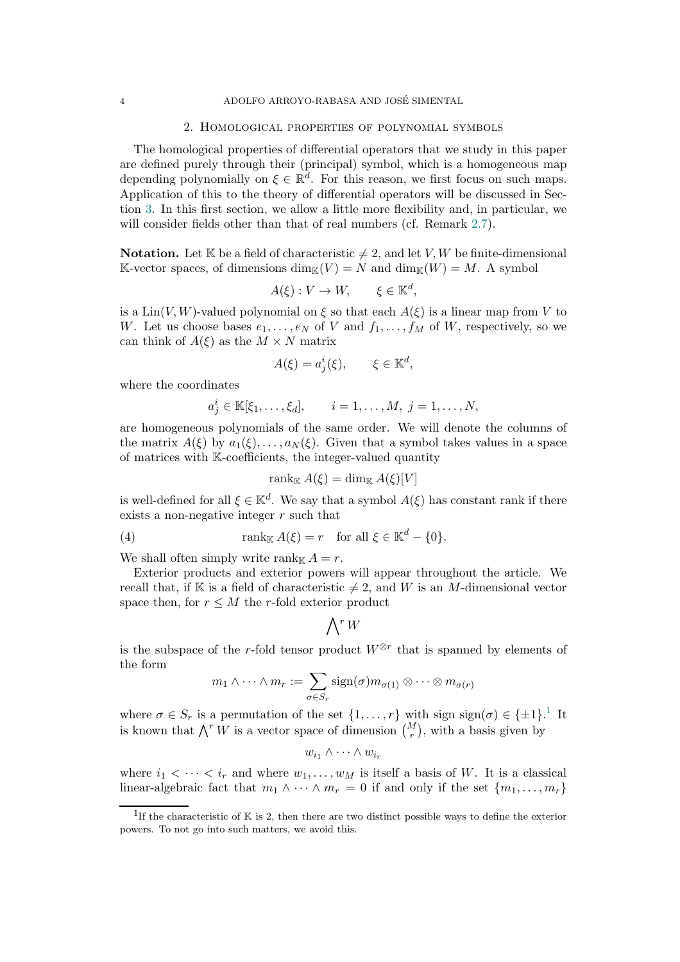#### 2. Homological properties of polynomial symbols

<span id="page-3-0"></span>The homological properties of differential operators that we study in this paper are defined purely through their (principal) symbol, which is a homogeneous map depending polynomially on  $\xi \in \mathbb{R}^d$ . For this reason, we first focus on such maps. Application of this to the theory of differential operators will be discussed in Section [3.](#page-8-0) In this first section, we allow a little more flexibility and, in particular, we will consider fields other than that of real numbers (cf. Remark [2.7\)](#page-7-0).

**Notation.** Let K be a field of characteristic  $\neq 2$ , and let V, W be finite-dimensional K-vector spaces, of dimensions  $\dim_{\mathbb{K}}(V) = N$  and  $\dim_{\mathbb{K}}(W) = M$ . A symbol

$$
A(\xi): V \to W, \qquad \xi \in \mathbb{K}^d,
$$

is a  $\text{Lin}(V, W)$ -valued polynomial on  $\xi$  so that each  $A(\xi)$  is a linear map from V to W. Let us choose bases  $e_1, \ldots, e_N$  of V and  $f_1, \ldots, f_M$  of W, respectively, so we can think of  $A(\xi)$  as the  $M \times N$  matrix

$$
A(\xi) = a_j^i(\xi), \qquad \xi \in \mathbb{K}^d,
$$

where the coordinates

$$
a_j^i \in \mathbb{K}[\xi_1, ..., \xi_d], \quad i = 1, ..., M, j = 1, ..., N,
$$

are homogeneous polynomials of the same order. We will denote the columns of the matrix  $A(\xi)$  by  $a_1(\xi), \ldots, a_N(\xi)$ . Given that a symbol takes values in a space of matrices with K-coefficients, the integer-valued quantity

$$
\operatorname{rank}_{\mathbb{K}} A(\xi) = \dim_{\mathbb{K}} A(\xi)[V]
$$

is well-defined for all  $\xi \in \mathbb{K}^d$ . We say that a symbol  $A(\xi)$  has constant rank if there exists a non-negative integer r such that

(4) 
$$
\operatorname{rank}_{\mathbb{K}} A(\xi) = r \quad \text{for all } \xi \in \mathbb{K}^d - \{0\}.
$$

We shall often simply write rank  $A = r$ .

Exterior products and exterior powers will appear throughout the article. We recall that, if 
$$
ℝ
$$
 is a field of characteristic  $≠ 2$ , and  $W$  is an  $M$ -dimensional vector space then, for  $r ≤ M$  the  $r$ -fold exterior product

$$
\bigwedge\nolimits^r W
$$

is the subspace of the r-fold tensor product  $W^{\otimes r}$  that is spanned by elements of the form

$$
m_1 \wedge \cdots \wedge m_r := \sum_{\sigma \in S_r} sign(\sigma) m_{\sigma(1)} \otimes \cdots \otimes m_{\sigma(r)}
$$

where  $\sigma \in S_r$  is a permutation of the set  $\{1, \ldots, r\}$  $\{1, \ldots, r\}$  $\{1, \ldots, r\}$  with sign  $sign(\sigma) \in \{\pm 1\}$ .<sup>1</sup> It is known that  $\bigwedge^r W$  is a vector space of dimension  $\binom{M}{r}$ , with a basis given by

$$
w_{i_1} \wedge \cdots \wedge w_{i_r}
$$

where  $i_1 < \cdots < i_r$  and where  $w_1, \ldots, w_M$  is itself a basis of W. It is a classical linear-algebraic fact that  $m_1 \wedge \cdots \wedge m_r = 0$  if and only if the set  $\{m_1, \ldots, m_r\}$ 

<span id="page-3-1"></span><sup>&</sup>lt;sup>1</sup>If the characteristic of  $K$  is 2, then there are two distinct possible ways to define the exterior powers. To not go into such matters, we avoid this.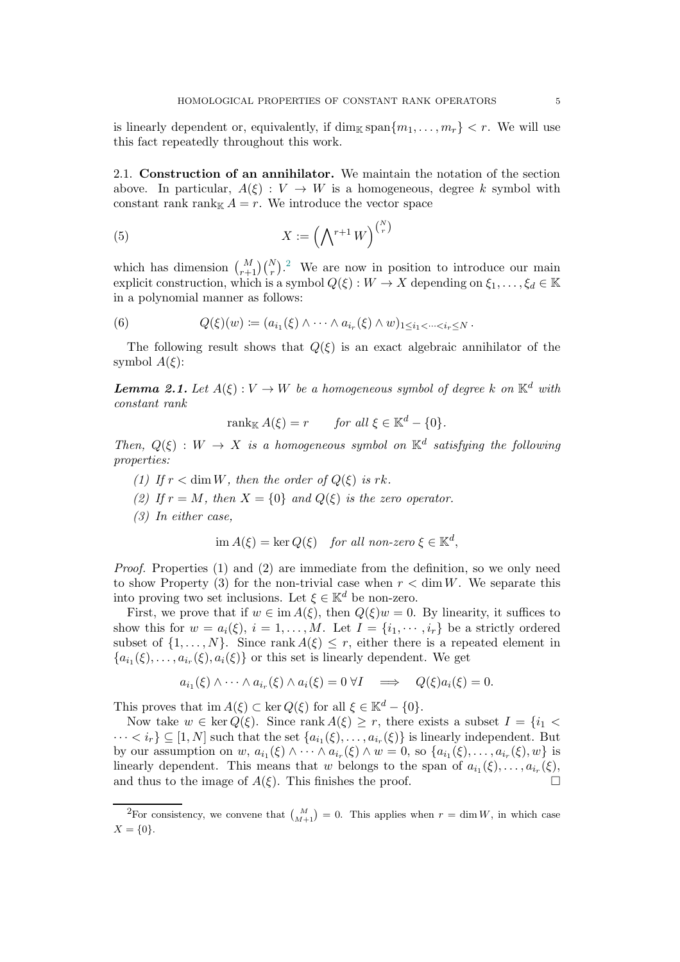is linearly dependent or, equivalently, if  $\dim_{\mathbb{K}} \operatorname{span}\{m_1, \ldots, m_r\} < r$ . We will use this fact repeatedly throughout this work.

2.1. Construction of an annihilator. We maintain the notation of the section above. In particular,  $A(\xi): V \to W$  is a homogeneous, degree k symbol with constant rank rank<sub>K</sub>  $A = r$ . We introduce the vector space

<span id="page-4-2"></span>(5) 
$$
X := \left(\bigwedge^{r+1} W\right)^{\binom{N}{r}}
$$

which has dimension  $\binom{M}{r+1}\binom{N}{r}$ . We are now in position to introduce our main explicit construction, which is a symbol  $Q(\xi): W \to X$  depending on  $\xi_1, \ldots, \xi_d \in \mathbb{K}$ in a polynomial manner as follows:

<span id="page-4-3"></span>(6) 
$$
Q(\xi)(w) := (a_{i_1}(\xi) \wedge \cdots \wedge a_{i_r}(\xi) \wedge w)_{1 \leq i_1 < \cdots < i_r \leq N}.
$$

The following result shows that  $Q(\xi)$  is an exact algebraic annihilator of the symbol  $A(\xi)$ :

<span id="page-4-0"></span>**Lemma 2.1.** Let  $A(\xi): V \to W$  be a homogeneous symbol of degree k on  $\mathbb{K}^d$  with constant rank

$$
rank_{\mathbb{K}} A(\xi) = r \quad \text{for all } \xi \in \mathbb{K}^d - \{0\}.
$$

Then,  $Q(\xi) : W \to X$  is a homogeneous symbol on  $\mathbb{K}^d$  satisfying the following properties:

- (1) If  $r < \dim W$ , then the order of  $Q(\xi)$  is rk.
- (2) If  $r = M$ , then  $X = \{0\}$  and  $Q(\xi)$  is the zero operator.
- (3) In either case,

$$
\text{im } A(\xi) = \ker Q(\xi) \quad \text{for all non-zero } \xi \in \mathbb{K}^d,
$$

Proof. Properties (1) and (2) are immediate from the definition, so we only need to show Property (3) for the non-trivial case when  $r < \dim W$ . We separate this into proving two set inclusions. Let  $\xi \in \mathbb{K}^d$  be non-zero.

First, we prove that if  $w \in \text{im } A(\xi)$ , then  $Q(\xi)w = 0$ . By linearity, it suffices to show this for  $w = a_i(\xi), i = 1, ..., M$ . Let  $I = \{i_1, ..., i_r\}$  be a strictly ordered subset of  $\{1, \ldots, N\}$ . Since rank  $A(\xi) \leq r$ , either there is a repeated element in  ${a_{i_1}(\xi), \ldots, a_{i_r}(\xi), a_i(\xi)}$  or this set is linearly dependent. We get

$$
a_{i_1}(\xi) \wedge \cdots \wedge a_{i_r}(\xi) \wedge a_i(\xi) = 0 \ \forall I \implies Q(\xi) a_i(\xi) = 0.
$$

This proves that im  $A(\xi) \subset \ker Q(\xi)$  for all  $\xi \in \mathbb{K}^d - \{0\}.$ 

Now take  $w \in \text{ker } Q(\xi)$ . Since rank  $A(\xi) \geq r$ , there exists a subset  $I = \{i_1 <$  $\cdots < i_r$   $\subseteq$  [1, N] such that the set  $\{a_{i_1}(\xi), \ldots, a_{i_r}(\xi)\}\$  is linearly independent. But by our assumption on  $w, a_{i_1}(\xi) \wedge \cdots \wedge a_{i_r}(\xi) \wedge w = 0$ , so  $\{a_{i_1}(\xi), \ldots, a_{i_r}(\xi), w\}$  is linearly dependent. This means that w belongs to the span of  $a_{i_1}(\xi), \ldots, a_{i_r}(\xi)$ , and thus to the image of  $A(\xi)$ . This finishes the proof.

<span id="page-4-1"></span><sup>&</sup>lt;sup>2</sup>For consistency, we convene that  $\binom{M}{M+1} = 0$ . This applies when  $r = \dim W$ , in which case  $X = \{0\}.$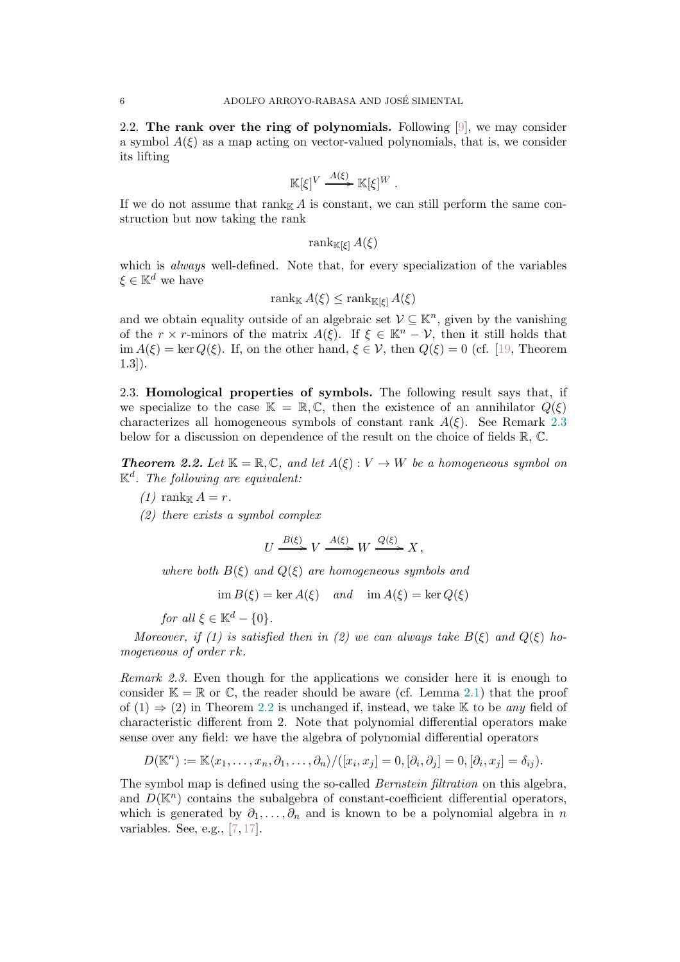2.2. The rank over the ring of polynomials. Following  $[9]$ , we may consider a symbol  $A(\xi)$  as a map acting on vector-valued polynomials, that is, we consider its lifting

$$
\mathbb{K}[\xi]^V \xrightarrow{A(\xi)} \mathbb{K}[\xi]^W.
$$

If we do not assume that  $\text{rank}_{\mathbb{K}} A$  is constant, we can still perform the same construction but now taking the rank

rank<sub>K[ $\xi$ ]</sub>  $A(\xi)$ 

which is *always* well-defined. Note that, for every specialization of the variables  $\xi \in \mathbb{K}^d$  we have

$$
\operatorname{rank}_{\mathbb{K}} A(\xi) \le \operatorname{rank}_{\mathbb{K}[\xi]} A(\xi)
$$

and we obtain equality outside of an algebraic set  $\mathcal{V} \subseteq \mathbb{K}^n$ , given by the vanishing of the r × r-minors of the matrix  $A(\xi)$ . If  $\xi \in \mathbb{K}^n - \mathcal{V}$ , then it still holds that  $\lim A(\xi) = \ker Q(\xi)$ . If, on the other hand,  $\xi \in \mathcal{V}$ , then  $Q(\xi) = 0$  (cf. [\[19,](#page-20-14) Theorem 1.3]).

2.3. Homological properties of symbols. The following result says that, if we specialize to the case  $\mathbb{K} = \mathbb{R}, \mathbb{C}$ , then the existence of an annihilator  $Q(\xi)$ characterizes all homogeneous symbols of constant rank  $A(\xi)$ . See Remark [2.3](#page-5-0) below for a discussion on dependence of the result on the choice of fields R, C.

<span id="page-5-1"></span>**Theorem 2.2.** Let  $\mathbb{K} = \mathbb{R}, \mathbb{C}$ , and let  $A(\xi) : V \to W$  be a homogeneous symbol on  $\mathbb{K}^d$ . The following are equivalent:

- $(1)$  rank  $A = r$ .
- (2) there exists a symbol complex

$$
U \xrightarrow{B(\xi)} V \xrightarrow{A(\xi)} W \xrightarrow{Q(\xi)} X,
$$

where both  $B(\xi)$  and  $Q(\xi)$  are homogeneous symbols and

 $\lim B(\xi) = \ker A(\xi)$  and  $\lim A(\xi) = \ker Q(\xi)$ 

for all  $\xi \in \mathbb{K}^d - \{0\}.$ 

Moreover, if (1) is satisfied then in (2) we can always take  $B(\xi)$  and  $Q(\xi)$  homogeneous of order rk.

<span id="page-5-0"></span>Remark 2.3. Even though for the applications we consider here it is enough to consider  $\mathbb{K} = \mathbb{R}$  or  $\mathbb{C}$ , the reader should be aware (cf. Lemma [2.1\)](#page-4-0) that the proof of  $(1) \Rightarrow (2)$  in Theorem [2.2](#page-5-1) is unchanged if, instead, we take K to be any field of characteristic different from 2. Note that polynomial differential operators make sense over any field: we have the algebra of polynomial differential operators

$$
D(\mathbb{K}^n) := \mathbb{K}\langle x_1,\ldots,x_n,\partial_1,\ldots,\partial_n\rangle/([x_i,x_j]=0,[\partial_i,\partial_j]=0,[\partial_i,x_j]=\delta_{ij}).
$$

The symbol map is defined using the so-called *Bernstein filtration* on this algebra, and  $D(\mathbb{K}^n)$  contains the subalgebra of constant-coefficient differential operators, which is generated by  $\partial_1, \ldots, \partial_n$  and is known to be a polynomial algebra in n variables. See, e.g., [\[7,](#page-20-15) [17\]](#page-20-16).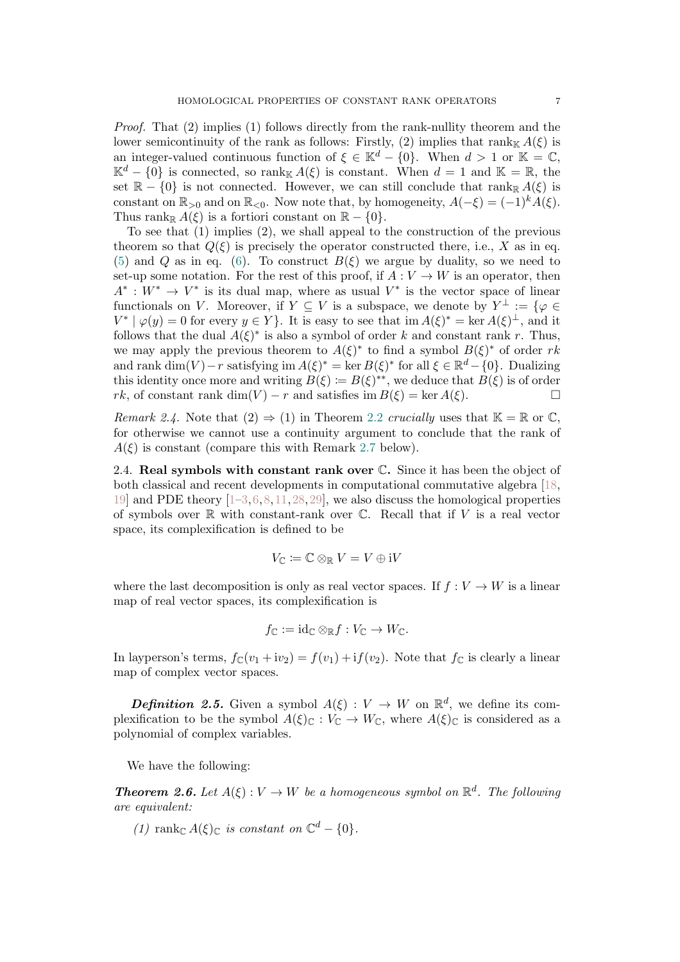Proof. That (2) implies (1) follows directly from the rank-nullity theorem and the lower semicontinuity of the rank as follows: Firstly, (2) implies that rank  $A(\xi)$  is an integer-valued continuous function of  $\xi \in \mathbb{K}^d - \{0\}$ . When  $d > 1$  or  $\mathbb{K} = \mathbb{C}$ ,  $\mathbb{K}^d$  – {0} is connected, so rank $\mathbb{K} A(\xi)$  is constant. When  $d = 1$  and  $\mathbb{K} = \mathbb{R}$ , the set  $\mathbb{R} - \{0\}$  is not connected. However, we can still conclude that rank  $A(\xi)$  is constant on  $\mathbb{R}_{>0}$  and on  $\mathbb{R}_{<0}$ . Now note that, by homogeneity,  $A(-\xi) = (-1)^k A(\xi)$ . Thus rank $\mathbb{R} A(\xi)$  is a fortiori constant on  $\mathbb{R} - \{0\}.$ 

To see that (1) implies (2), we shall appeal to the construction of the previous theorem so that  $Q(\xi)$  is precisely the operator constructed there, i.e., X as in eq. [\(5\)](#page-4-2) and Q as in eq. [\(6\)](#page-4-3). To construct  $B(\xi)$  we argue by duality, so we need to set-up some notation. For the rest of this proof, if  $A: V \to W$  is an operator, then  $A^* : W^* \to V^*$  is its dual map, where as usual  $V^*$  is the vector space of linear functionals on V. Moreover, if  $Y \subseteq V$  is a subspace, we denote by  $Y^{\perp} := \{ \varphi \in V \mid Y \in V \}$  $V^* | \varphi(y) = 0$  for every  $y \in Y$ . It is easy to see that  $\text{im } A(\xi)^* = \text{ker } A(\xi)^{\perp}$ , and it follows that the dual  $A(\xi)^*$  is also a symbol of order k and constant rank r. Thus, we may apply the previous theorem to  $A(\xi)^*$  to find a symbol  $B(\xi)^*$  of order rk and rank  $\dim(V) - r$  satisfying  $\operatorname{im} A(\xi)^* = \ker B(\xi)^*$  for all  $\xi \in \mathbb{R}^d - \{0\}$ . Dualizing this identity once more and writing  $B(\xi) := B(\xi)^{**}$ , we deduce that  $B(\xi)$  is of order  $rk$ , of constant rank dim(V) – r and satisfies im  $B(\xi) = \ker A(\xi)$ .

Remark 2.4. Note that  $(2) \Rightarrow (1)$  in Theorem [2.2](#page-5-1) crucially uses that  $\mathbb{K} = \mathbb{R}$  or  $\mathbb{C}$ , for otherwise we cannot use a continuity argument to conclude that the rank of  $A(\xi)$  is constant (compare this with Remark [2.7](#page-7-0) below).

2.4. Real symbols with constant rank over  $\mathbb C$ . Since it has been the object of both classical and recent developments in computational commutative algebra [\[18,](#page-20-17) [19\]](#page-20-14) and PDE theory  $[1-3,6,8,11,28,29]$  $[1-3,6,8,11,28,29]$  $[1-3,6,8,11,28,29]$  $[1-3,6,8,11,28,29]$  $[1-3,6,8,11,28,29]$  $[1-3,6,8,11,28,29]$ , we also discuss the homological properties of symbols over  $\mathbb R$  with constant-rank over  $\mathbb C$ . Recall that if V is a real vector space, its complexification is defined to be

$$
V_{\mathbb C} \coloneqq {\mathbb C} \otimes_{\mathbb R} V = V \oplus {\rm i} V
$$

where the last decomposition is only as real vector spaces. If  $f: V \to W$  is a linear map of real vector spaces, its complexification is

$$
f_{\mathbb{C}} := \mathrm{id}_{\mathbb{C}} \otimes_{\mathbb{R}} f : V_{\mathbb{C}} \to W_{\mathbb{C}}.
$$

In layperson's terms,  $f_{\mathbb{C}}(v_1 + iv_2) = f(v_1) + if(v_2)$ . Note that  $f_{\mathbb{C}}$  is clearly a linear map of complex vector spaces.

**Definition 2.5.** Given a symbol  $A(\xi) : V \to W$  on  $\mathbb{R}^d$ , we define its complexification to be the symbol  $A(\xi)_{\mathbb{C}} : V_{\mathbb{C}} \to W_{\mathbb{C}}$ , where  $A(\xi)_{\mathbb{C}}$  is considered as a polynomial of complex variables.

We have the following:

<span id="page-6-0"></span>**Theorem 2.6.** Let  $A(\xi): V \to W$  be a homogeneous symbol on  $\mathbb{R}^d$ . The following are equivalent:

(1) rank  $A(\xi)$  is constant on  $\mathbb{C}^d - \{0\}.$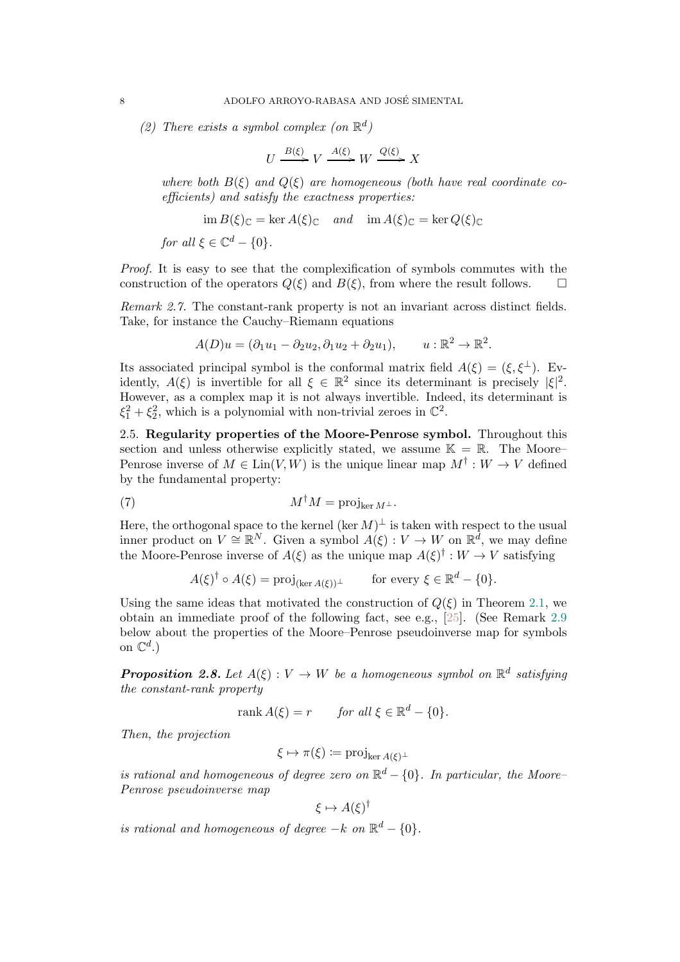(2) There exists a symbol complex (on  $\mathbb{R}^d$ )

$$
U \xrightarrow{B(\xi)} V \xrightarrow{A(\xi)} W \xrightarrow{Q(\xi)} X
$$

where both  $B(\xi)$  and  $Q(\xi)$  are homogeneous (both have real coordinate coefficients) and satisfy the exactness properties:

$$
\operatorname{im} B(\xi)_{\mathbb{C}} = \ker A(\xi)_{\mathbb{C}} \quad \text{and} \quad \operatorname{im} A(\xi)_{\mathbb{C}} = \ker Q(\xi)_{\mathbb{C}}
$$

for all  $\xi \in \mathbb{C}^d - \{0\}.$ 

Proof. It is easy to see that the complexification of symbols commutes with the construction of the operators  $Q(\xi)$  and  $B(\xi)$ , from where the result follows.  $\Box$ 

<span id="page-7-0"></span>Remark 2.7. The constant-rank property is not an invariant across distinct fields. Take, for instance the Cauchy–Riemann equations

$$
A(D)u = (\partial_1 u_1 - \partial_2 u_2, \partial_1 u_2 + \partial_2 u_1), \qquad u: \mathbb{R}^2 \to \mathbb{R}^2.
$$

Its associated principal symbol is the conformal matrix field  $A(\xi) = (\xi, \xi^{\perp})$ . Evidently,  $A(\xi)$  is invertible for all  $\xi \in \mathbb{R}^2$  since its determinant is precisely  $|\xi|^2$ . However, as a complex map it is not always invertible. Indeed, its determinant is  $\xi_1^2 + \xi_2^2$ , which is a polynomial with non-trivial zeroes in  $\mathbb{C}^2$ .

2.5. Regularity properties of the Moore-Penrose symbol. Throughout this section and unless otherwise explicitly stated, we assume  $\mathbb{K} = \mathbb{R}$ . The Moore– Penrose inverse of  $M \in \text{Lin}(V, W)$  is the unique linear map  $M^{\dagger}: W \to V$  defined by the fundamental property:

(7) 
$$
M^{\dagger} M = \text{proj}_{\ker M^{\perp}}.
$$

Here, the orthogonal space to the kernel (ker  $M)^{\perp}$  is taken with respect to the usual inner product on  $V \cong \mathbb{R}^N$ . Given a symbol  $A(\xi) : V \to W$  on  $\mathbb{R}^{\tilde{d}}$ , we may define the Moore-Penrose inverse of  $A(\xi)$  as the unique map  $A(\xi)$ <sup>†</sup>:  $W \to V$  satisfying

<span id="page-7-1"></span>
$$
A(\xi)^{\dagger} \circ A(\xi) = \text{proj}_{(\ker A(\xi))^{\perp}} \quad \text{for every } \xi \in \mathbb{R}^d - \{0\}.
$$

Using the same ideas that motivated the construction of  $Q(\xi)$  in Theorem [2.1,](#page-4-0) we obtain an immediate proof of the following fact, see e.g., [\[25\]](#page-20-7). (See Remark [2.9](#page-8-1) below about the properties of the Moore–Penrose pseudoinverse map for symbols on  $\mathbb{C}^d$ .)

<span id="page-7-2"></span>**Proposition 2.8.** Let  $A(\xi): V \to W$  be a homogeneous symbol on  $\mathbb{R}^d$  satisfying the constant-rank property

rank  $A(\xi) = r$  for all  $\xi \in \mathbb{R}^d - \{0\}.$ 

Then, the projection

$$
\xi \mapsto \pi(\xi) \coloneqq \text{proj}_{\ker A(\xi)^{\perp}}
$$

is rational and homogeneous of degree zero on  $\mathbb{R}^d$  – {0}. In particular, the Moore-Penrose pseudoinverse map

$$
\xi \mapsto A(\xi)^{\dagger}
$$

is rational and homogeneous of degree  $-k$  on  $\mathbb{R}^d - \{0\}.$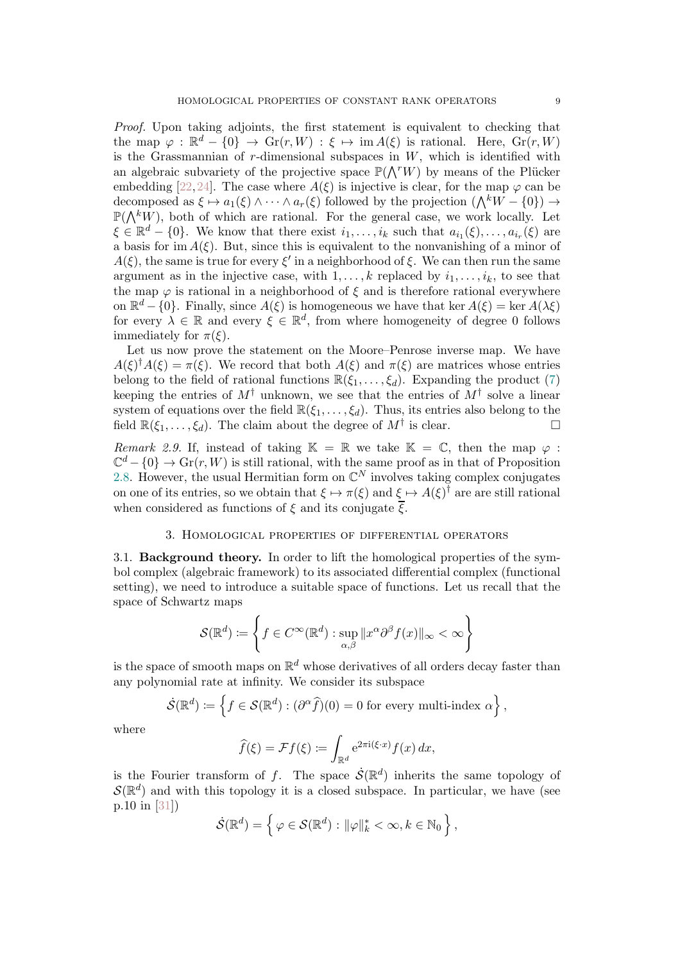Proof. Upon taking adjoints, the first statement is equivalent to checking that the map  $\varphi : \mathbb{R}^d - \{0\} \to \mathrm{Gr}(r, W) : \xi \mapsto \mathrm{im} A(\xi)$  is rational. Here,  $\mathrm{Gr}(r, W)$ is the Grassmannian of  $r$ -dimensional subspaces in  $W$ , which is identified with an algebraic subvariety of the projective space  $\mathbb{P}(\bigwedge^r W)$  by means of the Plücker embedding [\[22,](#page-20-23)[24\]](#page-20-24). The case where  $A(\xi)$  is injective is clear, for the map  $\varphi$  can be decomposed as  $\xi \mapsto a_1(\xi) \wedge \cdots \wedge a_r(\xi)$  followed by the projection  $(\bigwedge^k W - \{0\}) \rightarrow$  $\mathbb{P}(\bigwedge^k W)$ , both of which are rational. For the general case, we work locally. Let  $\xi \in \mathbb{R}^d - \{0\}$ . We know that there exist  $i_1, \ldots, i_k$  such that  $a_{i_1}(\xi), \ldots, a_{i_r}(\xi)$  are a basis for im  $A(\xi)$ . But, since this is equivalent to the nonvanishing of a minor of  $A(\xi)$ , the same is true for every  $\xi'$  in a neighborhood of  $\xi$ . We can then run the same argument as in the injective case, with  $1, \ldots, k$  replaced by  $i_1, \ldots, i_k$ , to see that the map  $\varphi$  is rational in a neighborhood of  $\xi$  and is therefore rational everywhere on  $\mathbb{R}^d$  – {0}. Finally, since  $A(\xi)$  is homogeneous we have that ker  $A(\xi) = \ker A(\lambda \xi)$ for every  $\lambda \in \mathbb{R}$  and every  $\xi \in \mathbb{R}^d$ , from where homogeneity of degree 0 follows immediately for  $\pi(\xi)$ .

Let us now prove the statement on the Moore–Penrose inverse map. We have  $A(\xi)^{\dagger}A(\xi) = \pi(\xi)$ . We record that both  $A(\xi)$  and  $\pi(\xi)$  are matrices whose entries belong to the field of rational functions  $\mathbb{R}(\xi_1, \ldots, \xi_d)$ . Expanding the product [\(7\)](#page-7-1) keeping the entries of  $M^{\dagger}$  unknown, we see that the entries of  $M^{\dagger}$  solve a linear system of equations over the field  $\mathbb{R}(\xi_1,\ldots,\xi_d)$ . Thus, its entries also belong to the field  $\mathbb{R}(\xi_1,\ldots,\xi_d)$ . The claim about the degree of  $M^{\dagger}$  is clear.

<span id="page-8-1"></span>Remark 2.9. If, instead of taking  $\mathbb{K} = \mathbb{R}$  we take  $\mathbb{K} = \mathbb{C}$ , then the map  $\varphi$ :  $\mathbb{C}^d$  –  $\{0\} \to \text{Gr}(r, W)$  is still rational, with the same proof as in that of Proposition [2.8.](#page-7-2) However, the usual Hermitian form on  $\mathbb{C}^N$  involves taking complex conjugates on one of its entries, so we obtain that  $\xi \mapsto \pi(\xi)$  and  $\xi \mapsto A(\xi)^{\dagger}$  are are still rational when considered as functions of  $\xi$  and its conjugate  $\overline{\xi}$ .

## 3. Homological properties of differential operators

<span id="page-8-0"></span>3.1. Background theory. In order to lift the homological properties of the symbol complex (algebraic framework) to its associated differential complex (functional setting), we need to introduce a suitable space of functions. Let us recall that the space of Schwartz maps

$$
\mathcal{S}(\mathbb{R}^d) \coloneqq \left\{ f \in C^{\infty}(\mathbb{R}^d) : \sup_{\alpha,\beta} ||x^{\alpha}\partial^{\beta} f(x)||_{\infty} < \infty \right\}
$$

is the space of smooth maps on  $\mathbb{R}^d$  whose derivatives of all orders decay faster than any polynomial rate at infinity. We consider its subspace

$$
\dot{\mathcal{S}}(\mathbb{R}^d) \coloneqq \left\{ f \in \mathcal{S}(\mathbb{R}^d) : (\partial^\alpha \widehat{f})(0) = 0 \text{ for every multi-index } \alpha \right\},\
$$

where

$$
\widehat{f}(\xi) = \mathcal{F}f(\xi) \coloneqq \int_{\mathbb{R}^d} e^{2\pi i(\xi \cdot x)} f(x) \, dx,
$$

is the Fourier transform of f. The space  $\dot{\mathcal{S}}(\mathbb{R}^d)$  inherits the same topology of  $\mathcal{S}(\mathbb{R}^d)$  and with this topology it is a closed subspace. In particular, we have (see p.10 in [\[31\]](#page-21-3))

$$
\dot{\mathcal{S}}(\mathbb{R}^d) = \left\{ \varphi \in \mathcal{S}(\mathbb{R}^d) : ||\varphi||_k^* < \infty, k \in \mathbb{N}_0 \right\},\
$$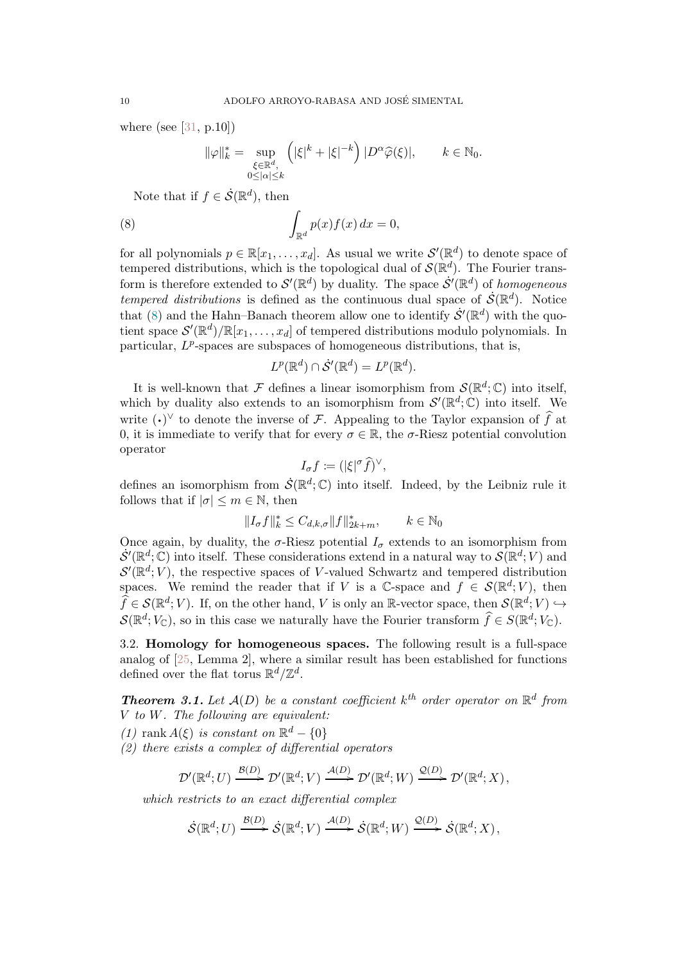where (see [\[31,](#page-21-3) p.10])

<span id="page-9-1"></span>
$$
\|\varphi\|_{k}^{*} = \sup_{\substack{\xi \in \mathbb{R}^{d}, \\ 0 \le |\alpha| \le k}} \left( |\xi|^{k} + |\xi|^{-k} \right) |D^{\alpha}\widehat{\varphi}(\xi)|, \qquad k \in \mathbb{N}_{0}.
$$

Note that if  $f \in \dot{\mathcal{S}}(\mathbb{R}^d)$ , then

(8) 
$$
\int_{\mathbb{R}^d} p(x) f(x) dx = 0,
$$

for all polynomials  $p \in \mathbb{R}[x_1,\ldots,x_d]$ . As usual we write  $\mathcal{S}'(\mathbb{R}^d)$  to denote space of tempered distributions, which is the topological dual of  $\mathcal{S}(\mathbb{R}^d)$ . The Fourier transform is therefore extended to  $\mathcal{S}'(\mathbb{R}^d)$  by duality. The space  $\dot{\mathcal{S}}'(\mathbb{R}^d)$  of homogeneous tempered distributions is defined as the continuous dual space of  $\dot{\mathcal{S}}(\mathbb{R}^d)$ . Notice that [\(8\)](#page-9-1) and the Hahn–Banach theorem allow one to identify  $\dot{\mathcal{S}}'(\mathbb{R}^d)$  with the quotient space  $\mathcal{S}'(\mathbb{R}^d)/\mathbb{R}[x_1,\ldots,x_d]$  of tempered distributions modulo polynomials. In particular,  $L^p$ -spaces are subspaces of homogeneous distributions, that is,

$$
L^p(\mathbb{R}^d) \cap \dot{\mathcal{S}}'(\mathbb{R}^d) = L^p(\mathbb{R}^d).
$$

It is well-known that F defines a linear isomorphism from  $\mathcal{S}(\mathbb{R}^d;\mathbb{C})$  into itself, which by duality also extends to an isomorphism from  $\mathcal{S}'(\mathbb{R}^d;\mathbb{C})$  into itself. We write  $(\cdot)^{\vee}$  to denote the inverse of F. Appealing to the Taylor expansion of  $\hat{f}$  at 0, it is immediate to verify that for every  $\sigma \in \mathbb{R}$ , the  $\sigma$ -Riesz potential convolution operator

$$
I_{\sigma}f \coloneqq (|\xi|^{\sigma}\widehat{f})^{\vee},
$$

defines an isomorphism from  $\dot{\mathcal{S}}(\mathbb{R}^d;\mathbb{C})$  into itself. Indeed, by the Leibniz rule it follows that if  $|\sigma| \leq m \in \mathbb{N}$ , then

$$
||I_{\sigma}f||_k^* \leq C_{d,k,\sigma} ||f||_{2k+m}^*, \qquad k \in \mathbb{N}_0
$$

Once again, by duality, the  $\sigma$ -Riesz potential  $I_{\sigma}$  extends to an isomorphism from  $\dot{\mathcal{S}}'(\mathbb{R}^d;\mathbb{C})$  into itself. These considerations extend in a natural way to  $\mathcal{S}(\mathbb{R}^d;V)$  and  $\mathcal{S}'(\mathbb{R}^d; V)$ , the respective spaces of V-valued Schwartz and tempered distribution spaces. We remind the reader that if V is a C-space and  $f \in \mathcal{S}(\mathbb{R}^d; V)$ , then  $\widehat{f} \in \mathcal{S}(\mathbb{R}^d; V)$ . If, on the other hand, V is only an R-vector space, then  $\mathcal{S}(\mathbb{R}^d; V) \hookrightarrow$  $\mathcal{S}(\mathbb{R}^d; V_{\mathbb{C}})$ , so in this case we naturally have the Fourier transform  $\widehat{f} \in S(\mathbb{R}^d; V_{\mathbb{C}})$ .

3.2. Homology for homogeneous spaces. The following result is a full-space analog of [\[25,](#page-20-7) Lemma 2], where a similar result has been established for functions defined over the flat torus  $\mathbb{R}^d/\mathbb{Z}^d$ .

<span id="page-9-0"></span>**Theorem 3.1.** Let  $A(D)$  be a constant coefficient  $k^{th}$  order operator on  $\mathbb{R}^d$  from V to W. The following are equivalent:

(1) rank  $A(\xi)$  is constant on  $\mathbb{R}^d - \{0\}$ 

(2) there exists a complex of differential operators

$$
\mathcal{D}'(\mathbb{R}^d;U) \xrightarrow{\mathcal{B}(D)} \mathcal{D}'(\mathbb{R}^d;V) \xrightarrow{\mathcal{A}(D)} \mathcal{D}'(\mathbb{R}^d;W) \xrightarrow{\mathcal{Q}(D)} \mathcal{D}'(\mathbb{R}^d;X),
$$

which restricts to an exact differential complex

$$
\dot{\mathcal{S}}(\mathbb{R}^d;U) \xrightarrow{\mathcal{B}(D)} \dot{\mathcal{S}}(\mathbb{R}^d;V) \xrightarrow{\mathcal{A}(D)} \dot{\mathcal{S}}(\mathbb{R}^d;W) \xrightarrow{\mathcal{Q}(D)} \dot{\mathcal{S}}(\mathbb{R}^d;X),
$$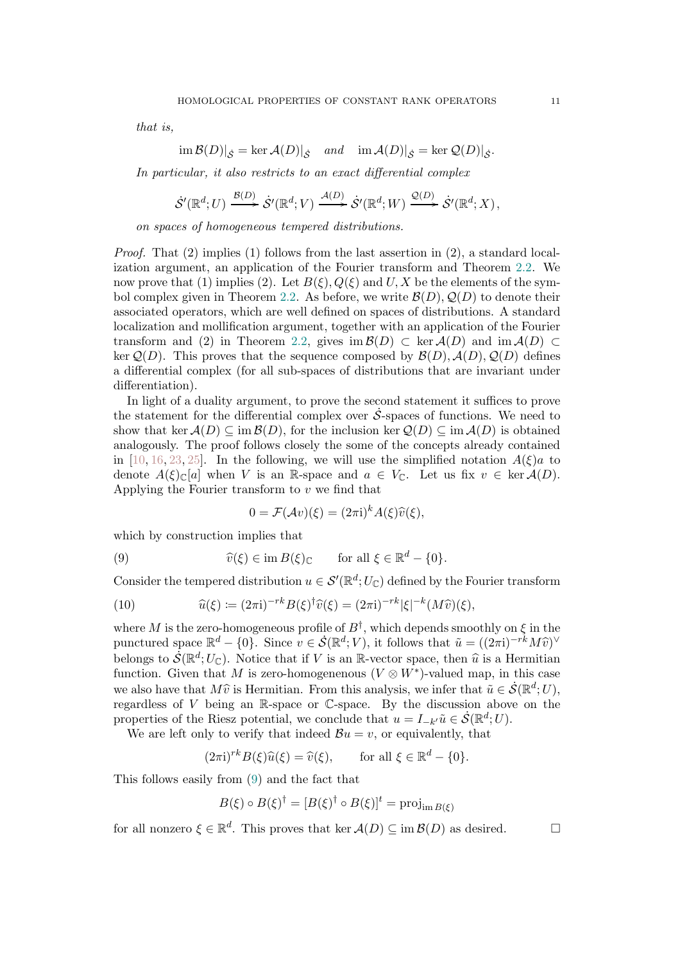that is,

$$
\operatorname{im} \mathcal{B}(D)|_{\mathcal{S}} = \ker \mathcal{A}(D)|_{\mathcal{S}} \quad \text{and} \quad \operatorname{im} \mathcal{A}(D)|_{\mathcal{S}} = \ker \mathcal{Q}(D)|_{\mathcal{S}}.
$$

In particular, it also restricts to an exact differential complex

$$
\dot{\mathcal{S}}'(\mathbb{R}^d;U) \xrightarrow{\mathcal{B}(D)} \dot{\mathcal{S}}'(\mathbb{R}^d;V) \xrightarrow{\mathcal{A}(D)} \dot{\mathcal{S}}'(\mathbb{R}^d;W) \xrightarrow{\mathcal{Q}(D)} \dot{\mathcal{S}}'(\mathbb{R}^d;X),
$$

on spaces of homogeneous tempered distributions.

Proof. That (2) implies (1) follows from the last assertion in (2), a standard localization argument, an application of the Fourier transform and Theorem [2.2.](#page-5-1) We now prove that (1) implies (2). Let  $B(\xi)$ ,  $Q(\xi)$  and U, X be the elements of the sym-bol complex given in Theorem [2.2.](#page-5-1) As before, we write  $\mathcal{B}(D), \mathcal{Q}(D)$  to denote their associated operators, which are well defined on spaces of distributions. A standard localization and mollification argument, together with an application of the Fourier transform and (2) in Theorem [2.2,](#page-5-1) gives im  $\mathcal{B}(D) \subset \text{ker } \mathcal{A}(D)$  and im  $\mathcal{A}(D) \subset$ ker  $Q(D)$ . This proves that the sequence composed by  $\mathcal{B}(D), \mathcal{A}(D), Q(D)$  defines a differential complex (for all sub-spaces of distributions that are invariant under differentiation).

In light of a duality argument, to prove the second statement it suffices to prove the statement for the differential complex over  $\dot{\mathcal{S}}$ -spaces of functions. We need to show that ker  $A(D) \subseteq \text{im } B(D)$ , for the inclusion ker  $Q(D) \subseteq \text{im } A(D)$  is obtained analogously. The proof follows closely the some of the concepts already contained in [\[10,](#page-20-4) [16,](#page-20-12) [23,](#page-20-3) [25\]](#page-20-7). In the following, we will use the simplified notation  $A(\xi)a$  to denote  $A(\xi)_{\mathbb{C}}[a]$  when V is an R-space and  $a \in V_{\mathbb{C}}$ . Let us fix  $v \in \text{ker } A(D)$ . Applying the Fourier transform to  $v$  we find that

<span id="page-10-0"></span>
$$
0 = \mathcal{F}(\mathcal{A}v)(\xi) = (2\pi i)^k A(\xi)\widehat{v}(\xi),
$$

which by construction implies that

(9) 
$$
\widehat{v}(\xi) \in \operatorname{im} B(\xi)_{\mathbb{C}} \quad \text{for all } \xi \in \mathbb{R}^d - \{0\}.
$$

Consider the tempered distribution  $u \in \mathcal{S}'(\mathbb{R}^d;U_{\mathbb{C}})$  defined by the Fourier transform

<span id="page-10-1"></span>(10) 
$$
\widehat{u}(\xi) \coloneqq (2\pi i)^{-rk} B(\xi)^\dagger \widehat{v}(\xi) = (2\pi i)^{-rk} |\xi|^{-k} (M\widehat{v})(\xi),
$$

where M is the zero-homogeneous profile of  $B^{\dagger}$ , which depends smoothly on  $\xi$  in the punctured space  $\mathbb{R}^d - \{0\}$ . Since  $v \in \mathcal{S}(\mathbb{R}^d; V)$ , it follows that  $\tilde{u} = ((2\pi i)^{-rk} M\tilde{v})^{\vee}$ belongs to  $\mathcal{S}(\mathbb{R}^d; U_{\mathbb{C}})$ . Notice that if V is an R-vector space, then  $\hat{u}$  is a Hermitian function. Given that M is zero-homogenenous  $(V \otimes W^*)$ -valued map, in this case we also have that  $M\hat{v}$  is Hermitian. From this analysis, we infer that  $\tilde{u} \in \dot{S}(\mathbb{R}^d; U)$ , regardless of  $V$  being an R-space or  $\mathbb{C}$ -space. By the discussion above on the properties of the Riesz potential, we conclude that  $u = I_{-k'}\tilde{u} \in \dot{\mathcal{S}}(\mathbb{R}^d;U)$ .

We are left only to verify that indeed  $\mathcal{B}u = v$ , or equivalently, that

$$
(2\pi i)^{rk} B(\xi)\widehat{u}(\xi) = \widehat{v}(\xi), \quad \text{for all } \xi \in \mathbb{R}^d - \{0\}.
$$

This follows easily from [\(9\)](#page-10-0) and the fact that

$$
B(\xi) \circ B(\xi)^{\dagger} = [B(\xi)^{\dagger} \circ B(\xi)]^{t} = \text{proj}_{\text{im }B(\xi)}
$$

for all nonzero  $\xi \in \mathbb{R}^d$ . This proves that ker  $\mathcal{A}(D) \subseteq \text{im } \mathcal{B}(D)$  as desired.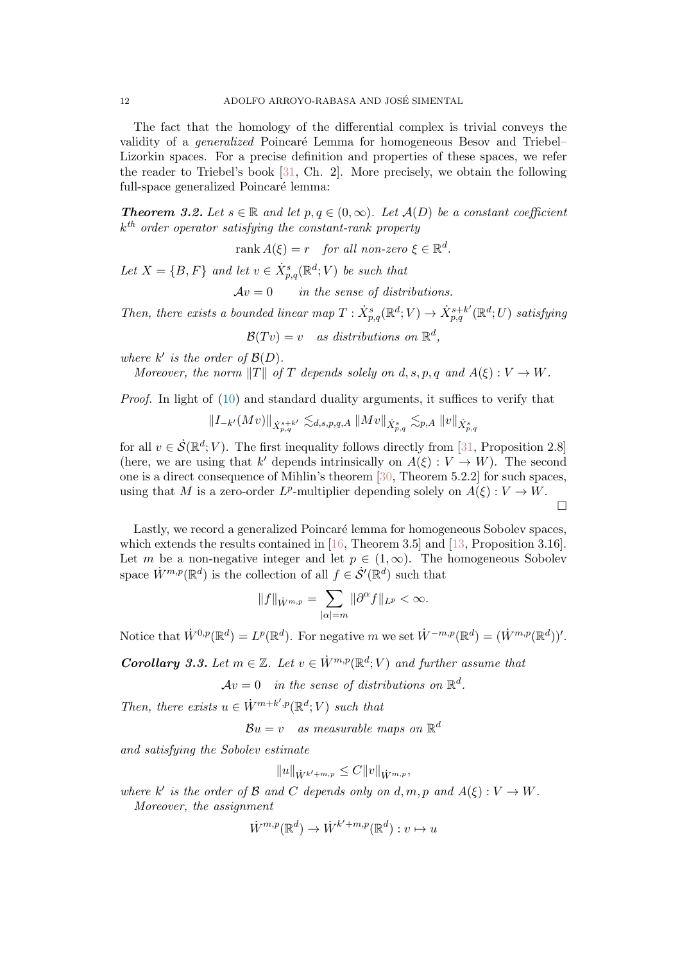The fact that the homology of the differential complex is trivial conveys the validity of a *generalized* Poincaré Lemma for homogeneous Besov and Triebel– Lizorkin spaces. For a precise definition and properties of these spaces, we refer the reader to Triebel's book [\[31,](#page-21-3) Ch. 2]. More precisely, we obtain the following full-space generalized Poincaré lemma:

<span id="page-11-0"></span>**Theorem 3.2.** Let  $s \in \mathbb{R}$  and let  $p, q \in (0, \infty)$ . Let  $\mathcal{A}(D)$  be a constant coefficient  $k^{th}$  order operator satisfying the constant-rank property

 $rank A(\xi) = r$  for all non-zero  $\xi \in \mathbb{R}^d$ .

Let  $X = \{B, F\}$  and let  $v \in \dot{X}_{p,q}^s(\mathbb{R}^d; V)$  be such that

 $Av = 0$  in the sense of distributions.

Then, there exists a bounded linear map  $T: \dot{X}_{p,q}^s(\mathbb{R}^d; V) \to \dot{X}_{p,q}^{s+k'}(\mathbb{R}^d; U)$  satisfying

 $\mathcal{B}(Tv) = v$  as distributions on  $\mathbb{R}^d$ ,

where  $k'$  is the order of  $\mathcal{B}(D)$ .

Moreover, the norm  $||T||$  of T depends solely on d, s, p, q and  $A(\xi) : V \to W$ .

*Proof.* In light of  $(10)$  and standard duality arguments, it suffices to verify that

$$
||I_{-k'}(Mv)||_{\dot{X}_{p,q}^{s+k'}} \lesssim_{d,s,p,q,A} ||Mv||_{\dot{X}_{p,q}^s} \lesssim_{p,A} ||v||_{\dot{X}_{p,q}^s}
$$

for all  $v \in \dot{\mathcal{S}}(\mathbb{R}^d; V)$ . The first inequality follows directly from [\[31,](#page-21-3) Proposition 2.8] (here, we are using that k' depends intrinsically on  $A(\xi): V \to W$ ). The second one is a direct consequence of Mihlin's theorem [\[30,](#page-21-4) Theorem 5.2.2] for such spaces, using that M is a zero-order  $L^p$ -multiplier depending solely on  $A(\xi): V \to W$ .  $\Box$ 

Lastly, we record a generalized Poincaré lemma for homogeneous Sobolev spaces, which extends the results contained in [\[16,](#page-20-12) Theorem 3.5] and [\[13,](#page-20-9) Proposition 3.16]. Let m be a non-negative integer and let  $p \in (1,\infty)$ . The homogeneous Sobolev space  $\dot{W}^{m,p}(\mathbb{R}^d)$  is the collection of all  $f \in \dot{\mathcal{S}}'(\mathbb{R}^d)$  such that

$$
||f||_{\dot{W}^{m,p}} = \sum_{|\alpha|=m} ||\partial^{\alpha} f||_{L^p} < \infty.
$$

Notice that  $\dot{W}^{0,p}(\mathbb{R}^d) = L^p(\mathbb{R}^d)$ . For negative m we set  $\dot{W}^{-m,p}(\mathbb{R}^d) = (\dot{W}^{m,p}(\mathbb{R}^d))'$ .

<span id="page-11-1"></span>**Corollary 3.3.** Let  $m \in \mathbb{Z}$ . Let  $v \in \dot{W}^{m,p}(\mathbb{R}^d; V)$  and further assume that

 $Av = 0$  in the sense of distributions on  $\mathbb{R}^d$ .

Then, there exists  $u \in \dot{W}^{m+k',p}(\mathbb{R}^d;V)$  such that

 $\mathcal{B} u = v \quad as \; measurable \; maps \; on \; \mathbb{R}^d$ 

and satisfying the Sobolev estimate

$$
||u||_{\dot{W}^{k'+m,p}} \leq C||v||_{\dot{W}^{m,p}},
$$

where k' is the order of  $\mathcal B$  and  $C$  depends only on d, m, p and  $A(\xi): V \to W$ . Moreover, the assignment

$$
\dot{W}^{m,p}(\mathbb{R}^d) \to \dot{W}^{k'+m,p}(\mathbb{R}^d) : v \mapsto u
$$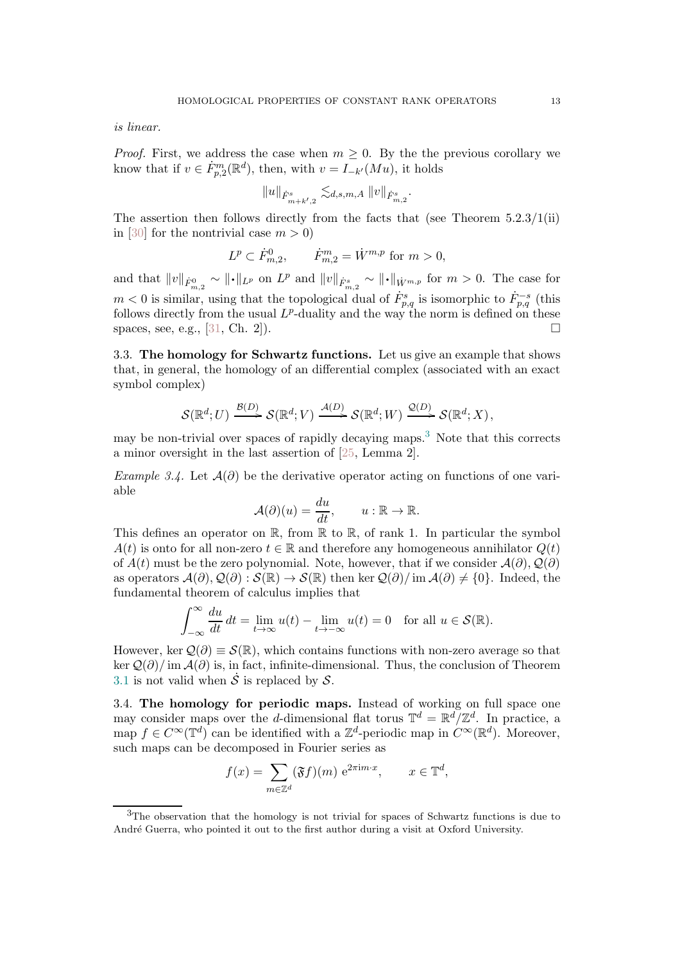is linear.

*Proof.* First, we address the case when  $m \geq 0$ . By the the previous corollary we know that if  $v \in \dot{F}_{p,2}^m(\mathbb{R}^d)$ , then, with  $v = I_{-k'}(Mu)$ , it holds

$$
||u||_{\dot{F}^{s}_{m+k',2}} \lesssim_{d,s,m,A} ||v||_{\dot{F}^{s}_{m,2}}.
$$

The assertion then follows directly from the facts that (see Theorem  $5.2.3/1(ii)$ ) in [\[30\]](#page-21-4) for the nontrivial case  $m > 0$ )

$$
L^p \subset \dot{F}^0_{m,2}, \qquad \dot{F}^m_{m,2} = \dot{W}^{m,p} \text{ for } m > 0,
$$

and that  $||v||_{\dot{F}_{m,2}^0} \sim ||\cdot||_{L^p}$  on  $L^p$  and  $||v||_{\dot{F}_{m,2}^s} \sim ||\cdot||_{\dot{W}^{m,p}}$  for  $m > 0$ . The case for  $m < 0$  is similar, using that the topological dual of  $\dot{F}_{p,q}^s$  is isomorphic to  $\dot{F}_{p,q}^{-s}$  (this follows directly from the usual  $L^p$ -duality and the way the norm is defined on these spaces, see, e.g., [\[31,](#page-21-3) Ch. 2]).

3.3. The homology for Schwartz functions. Let us give an example that shows that, in general, the homology of an differential complex (associated with an exact symbol complex)

$$
\mathcal{S}(\mathbb{R}^d; U) \xrightarrow{\mathcal{B}(D)} \mathcal{S}(\mathbb{R}^d; V) \xrightarrow{\mathcal{A}(D)} \mathcal{S}(\mathbb{R}^d; W) \xrightarrow{\mathcal{Q}(D)} \mathcal{S}(\mathbb{R}^d; X),
$$

may be non-trivial over spaces of rapidly decaying maps.<sup>[3](#page-12-0)</sup> Note that this corrects a minor oversight in the last assertion of [\[25,](#page-20-7) Lemma 2].

Example 3.4. Let  $\mathcal{A}(\partial)$  be the derivative operator acting on functions of one variable

$$
\mathcal{A}(\partial)(u) = \frac{du}{dt}, \qquad u: \mathbb{R} \to \mathbb{R}.
$$

This defines an operator on  $\mathbb R$ , from  $\mathbb R$  to  $\mathbb R$ , of rank 1. In particular the symbol  $A(t)$  is onto for all non-zero  $t \in \mathbb{R}$  and therefore any homogeneous annihilator  $Q(t)$ of  $A(t)$  must be the zero polynomial. Note, however, that if we consider  $\mathcal{A}(\partial), \mathcal{Q}(\partial)$ as operators  $\mathcal{A}(\partial), \mathcal{Q}(\partial) : \mathcal{S}(\mathbb{R}) \to \mathcal{S}(\mathbb{R})$  then ker  $\mathcal{Q}(\partial)/\text{im}\,\mathcal{A}(\partial) \neq \{0\}$ . Indeed, the fundamental theorem of calculus implies that

$$
\int_{-\infty}^{\infty} \frac{du}{dt} dt = \lim_{t \to \infty} u(t) - \lim_{t \to -\infty} u(t) = 0 \text{ for all } u \in \mathcal{S}(\mathbb{R}).
$$

However, ker  $\mathcal{Q}(\partial) \equiv \mathcal{S}(\mathbb{R})$ , which contains functions with non-zero average so that ker  $\mathcal{Q}(\partial)/\text{im}\,\mathcal{A}(\partial)$  is, in fact, infinite-dimensional. Thus, the conclusion of Theorem [3.1](#page-9-0) is not valid when  $\dot{\mathcal{S}}$  is replaced by  $\mathcal{S}$ .

3.4. The homology for periodic maps. Instead of working on full space one may consider maps over the *d*-dimensional flat torus  $\mathbb{T}^d = \mathbb{R}^d / \mathbb{Z}^d$ . In practice, a map  $f \in C^{\infty}(\mathbb{T}^d)$  can be identified with a  $\mathbb{Z}^d$ -periodic map in  $C^{\infty}(\mathbb{R}^d)$ . Moreover, such maps can be decomposed in Fourier series as

$$
f(x) = \sum_{m \in \mathbb{Z}^d} (\mathfrak{F}f)(m) e^{2\pi i m \cdot x}, \qquad x \in \mathbb{T}^d,
$$

<span id="page-12-0"></span><sup>3</sup>The observation that the homology is not trivial for spaces of Schwartz functions is due to André Guerra, who pointed it out to the first author during a visit at Oxford University.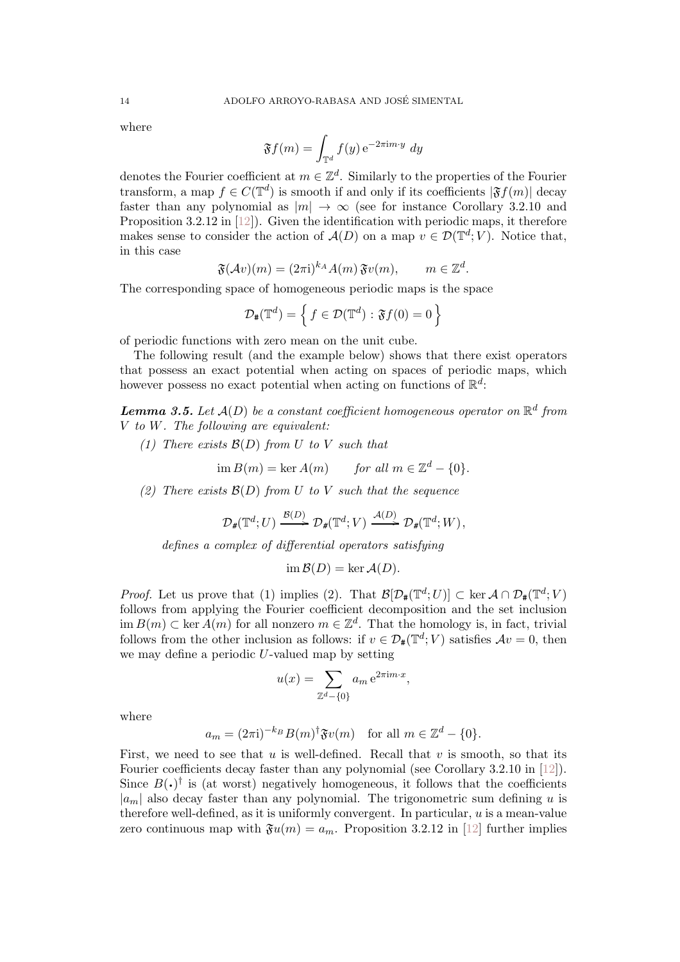where

$$
\mathfrak{F}f(m) = \int_{\mathbb{T}^d} f(y) \,\mathrm{e}^{-2\pi \mathrm{i} m \cdot y} \, dy
$$

denotes the Fourier coefficient at  $m \in \mathbb{Z}^d$ . Similarly to the properties of the Fourier transform, a map  $f \in C(\mathbb{T}^d)$  is smooth if and only if its coefficients  $|\mathfrak{F}f(m)|$  decay faster than any polynomial as  $|m| \to \infty$  (see for instance Corollary 3.2.10 and Proposition 3.2.12 in [\[12\]](#page-20-25)). Given the identification with periodic maps, it therefore makes sense to consider the action of  $\mathcal{A}(D)$  on a map  $v \in \mathcal{D}(\mathbb{T}^d; V)$ . Notice that, in this case

$$
\mathfrak{F}(\mathcal{A}v)(m) = (2\pi \mathrm{i})^{k_A} A(m) \mathfrak{F}v(m), \qquad m \in \mathbb{Z}^d.
$$

The corresponding space of homogeneous periodic maps is the space

$$
\mathcal{D}_{\mathbf{H}}(\mathbb{T}^d) = \left\{ f \in \mathcal{D}(\mathbb{T}^d) : \mathfrak{F}f(0) = 0 \right\}
$$

of periodic functions with zero mean on the unit cube.

The following result (and the example below) shows that there exist operators that possess an exact potential when acting on spaces of periodic maps, which however possess no exact potential when acting on functions of  $\mathbb{R}^d$ :

<span id="page-13-0"></span>**Lemma 3.5.** Let  $\mathcal{A}(D)$  be a constant coefficient homogeneous operator on  $\mathbb{R}^d$  from V to W. The following are equivalent:

(1) There exists  $\mathcal{B}(D)$  from U to V such that

$$
\text{im } B(m) = \ker A(m) \qquad \text{for all } m \in \mathbb{Z}^d - \{0\}.
$$

(2) There exists  $\mathcal{B}(D)$  from U to V such that the sequence

$$
\mathcal{D}_{\#}(\mathbb{T}^d; U) \xrightarrow{\mathcal{B}(D)} \mathcal{D}_{\#}(\mathbb{T}^d; V) \xrightarrow{\mathcal{A}(D)} \mathcal{D}_{\#}(\mathbb{T}^d; W),
$$

defines a complex of differential operators satisfying

$$
\operatorname{im} \mathcal{B}(D) = \ker \mathcal{A}(D).
$$

*Proof.* Let us prove that (1) implies (2). That  $\mathcal{B}[\mathcal{D}_{\#}(\mathbb{T}^d;U)] \subset \ker \mathcal{A} \cap \mathcal{D}_{\#}(\mathbb{T}^d;V)$ follows from applying the Fourier coefficient decomposition and the set inclusion  $\dim B(m) \subset \text{ker } A(m)$  for all nonzero  $m \in \mathbb{Z}^d$ . That the homology is, in fact, trivial follows from the other inclusion as follows: if  $v \in \mathcal{D}_{\#}(\mathbb{T}^d; V)$  satisfies  $\mathcal{A}v = 0$ , then we may define a periodic U-valued map by setting

$$
u(x) = \sum_{\mathbb{Z}^d - \{0\}} a_m e^{2\pi i m \cdot x},
$$

where

$$
a_m = (2\pi i)^{-k_B} B(m)^{\dagger} \mathfrak{F} v(m) \quad \text{for all } m \in \mathbb{Z}^d - \{0\}.
$$

First, we need to see that u is well-defined. Recall that v is smooth, so that its Fourier coefficients decay faster than any polynomial (see Corollary 3.2.10 in [\[12\]](#page-20-25)). Since  $B(\cdot)^\dagger$  is (at worst) negatively homogeneous, it follows that the coefficients  $|a_m|$  also decay faster than any polynomial. The trigonometric sum defining u is therefore well-defined, as it is uniformly convergent. In particular,  $u$  is a mean-value zero continuous map with  $\mathfrak{F}_u(m) = a_m$ . Proposition 3.2.12 in [\[12\]](#page-20-25) further implies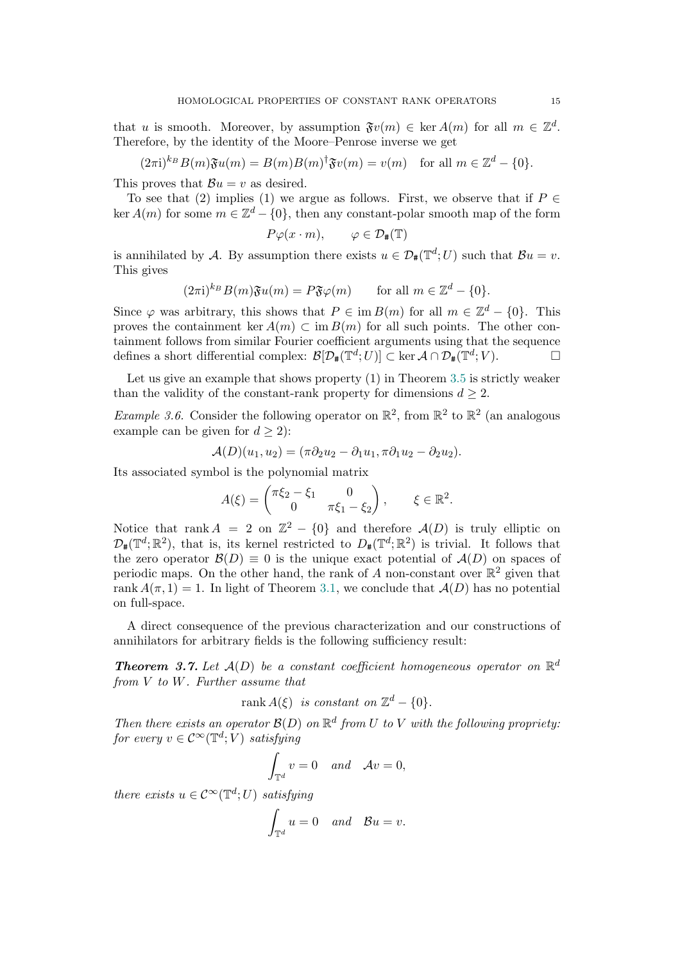that u is smooth. Moreover, by assumption  $\mathfrak{F}v(m) \in \text{ker } A(m)$  for all  $m \in \mathbb{Z}^d$ . Therefore, by the identity of the Moore–Penrose inverse we get

 $(2\pi i)^{k}B(m)\mathfrak{F}u(m) = B(m)B(m)^{\dagger}\mathfrak{F}v(m) = v(m)$  for all  $m \in \mathbb{Z}^d - \{0\}.$ 

This proves that  $\mathcal{B}u = v$  as desired.

To see that (2) implies (1) we argue as follows. First, we observe that if  $P \in$  $\ker A(m)$  for some  $m \in \mathbb{Z}^d - \{0\}$ , then any constant-polar smooth map of the form

$$
P\varphi(x \cdot m), \qquad \varphi \in \mathcal{D}_{\#}(\mathbb{T})
$$

is annihilated by A. By assumption there exists  $u \in \mathcal{D}_{\#}(\mathbb{T}^d; U)$  such that  $\mathcal{B}u = v$ . This gives

$$
(2\pi i)^{k_B} B(m) \mathfrak{F} u(m) = P \mathfrak{F} \varphi(m) \quad \text{for all } m \in \mathbb{Z}^d - \{0\}.
$$

Since  $\varphi$  was arbitrary, this shows that  $P \in \text{im } B(m)$  for all  $m \in \mathbb{Z}^d - \{0\}$ . This proves the containment ker  $A(m) \subset \text{im } B(m)$  for all such points. The other containment follows from similar Fourier coefficient arguments using that the sequence defines a short differential complex:  $\mathcal{B}[\mathcal{D}_\#(\mathbb{T}^d;U)] \subset \ker \mathcal{A} \cap \mathcal{D}_\#(\mathbb{T}^d;V)$ .

Let us give an example that shows property (1) in Theorem [3.5](#page-13-0) is strictly weaker than the validity of the constant-rank property for dimensions  $d \geq 2$ .

*Example 3.6.* Consider the following operator on  $\mathbb{R}^2$ , from  $\mathbb{R}^2$  to  $\mathbb{R}^2$  (an analogous example can be given for  $d \geq 2$ :

$$
\mathcal{A}(D)(u_1, u_2) = (\pi \partial_2 u_2 - \partial_1 u_1, \pi \partial_1 u_2 - \partial_2 u_2).
$$

Its associated symbol is the polynomial matrix

$$
A(\xi) = \begin{pmatrix} \pi \xi_2 - \xi_1 & 0 \\ 0 & \pi \xi_1 - \xi_2 \end{pmatrix}, \qquad \xi \in \mathbb{R}^2.
$$

Notice that rank  $A = 2$  on  $\mathbb{Z}^2 - \{0\}$  and therefore  $\mathcal{A}(D)$  is truly elliptic on  $\mathcal{D}_{\sharp}(\mathbb{T}^d;\mathbb{R}^2)$ , that is, its kernel restricted to  $D_{\sharp}(\mathbb{T}^d;\mathbb{R}^2)$  is trivial. It follows that the zero operator  $\mathcal{B}(D) \equiv 0$  is the unique exact potential of  $\mathcal{A}(D)$  on spaces of periodic maps. On the other hand, the rank of A non-constant over  $\mathbb{R}^2$  given that rank  $A(\pi, 1) = 1$ . In light of Theorem [3.1,](#page-9-0) we conclude that  $A(D)$  has no potential on full-space.

A direct consequence of the previous characterization and our constructions of annihilators for arbitrary fields is the following sufficiency result:

<span id="page-14-0"></span>**Theorem 3.7.** Let  $\mathcal{A}(D)$  be a constant coefficient homogeneous operator on  $\mathbb{R}^d$ from V to W. Further assume that

rank  $A(\xi)$  is constant on  $\mathbb{Z}^d - \{0\}.$ 

Then there exists an operator  $\mathcal{B}(D)$  on  $\mathbb{R}^d$  from U to V with the following propriety: for every  $v \in C^{\infty}(\mathbb{T}^d; V)$  satisfying

$$
\int_{\mathbb{T}^d} v = 0 \quad and \quad \mathcal{A}v = 0,
$$

there exists  $u \in C^{\infty}(\mathbb{T}^d; U)$  satisfying

$$
\int_{\mathbb{T}^d} u = 0 \quad and \quad \mathcal{B}u = v.
$$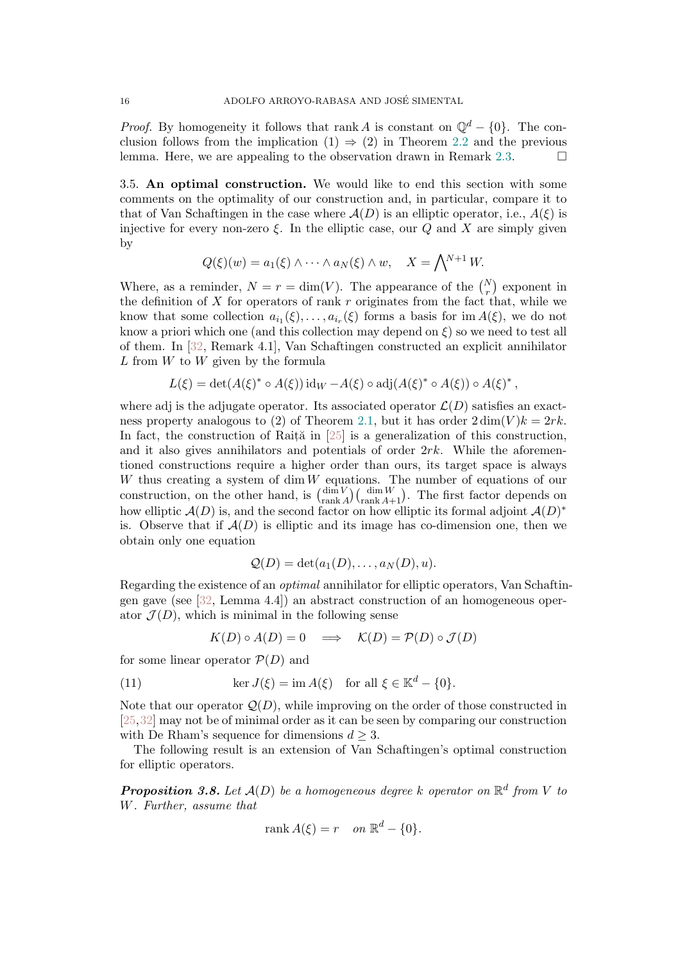*Proof.* By homogeneity it follows that rank A is constant on  $\mathbb{Q}^d - \{0\}$ . The conclusion follows from the implication  $(1) \Rightarrow (2)$  in Theorem [2.2](#page-5-1) and the previous lemma. Here, we are appealing to the observation drawn in Remark [2.3.](#page-5-0)  $\Box$ 

3.5. An optimal construction. We would like to end this section with some comments on the optimality of our construction and, in particular, compare it to that of Van Schaftingen in the case where  $\mathcal{A}(D)$  is an elliptic operator, i.e.,  $A(\xi)$  is injective for every non-zero  $\xi$ . In the elliptic case, our Q and X are simply given by

$$
Q(\xi)(w) = a_1(\xi) \wedge \cdots \wedge a_N(\xi) \wedge w, \quad X = \bigwedge^{N+1} W.
$$

Where, as a reminder,  $N = r = \dim(V)$ . The appearance of the  $\binom{N}{r}$  exponent in the definition of  $X$  for operators of rank  $r$  originates from the fact that, while we know that some collection  $a_{i_1}(\xi), \ldots, a_{i_r}(\xi)$  forms a basis for im  $A(\xi)$ , we do not know a priori which one (and this collection may depend on  $\xi$ ) so we need to test all of them. In [\[32,](#page-21-1) Remark 4.1], Van Schaftingen constructed an explicit annihilator  $L$  from  $W$  to  $W$  given by the formula

$$
L(\xi) = \det(A(\xi)^* \circ A(\xi)) \operatorname{id}_W - A(\xi) \circ \operatorname{adj}(A(\xi)^* \circ A(\xi)) \circ A(\xi)^*,
$$

where adj is the adjugate operator. Its associated operator  $\mathcal{L}(D)$  satisfies an exact-ness property analogous to (2) of Theorem [2.1,](#page-4-0) but it has order  $2 \dim(V)k = 2rk$ . In fact, the construction of Rait $\tilde{a}$  in [\[25\]](#page-20-7) is a generalization of this construction, and it also gives annihilators and potentials of order  $2rk$ . While the aforementioned constructions require a higher order than ours, its target space is always  $W$  thus creating a system of  $\dim W$  equations. The number of equations of our construction, on the other hand, is  $\binom{\dim V}{\text{rank }K}$  $\frac{\dim V}{\text{rank }A}$   $\binom{\dim W}{\text{rank }A+1}$ . The first factor depends on how elliptic  $\mathcal{A}(D)$  is, and the second factor on how elliptic its formal adjoint  $\mathcal{A}(D)^*$ is. Observe that if  $A(D)$  is elliptic and its image has co-dimension one, then we obtain only one equation

$$
Q(D) = \det(a_1(D), \ldots, a_N(D), u).
$$

Regarding the existence of an optimal annihilator for elliptic operators, Van Schaftingen gave (see [\[32,](#page-21-1) Lemma 4.4]) an abstract construction of an homogeneous operator  $\mathcal{J}(D)$ , which is minimal in the following sense

$$
K(D) \circ A(D) = 0 \implies \mathcal{K}(D) = \mathcal{P}(D) \circ \mathcal{J}(D)
$$

for some linear operator  $\mathcal{P}(D)$  and

(11) 
$$
\ker J(\xi) = \operatorname{im} A(\xi) \quad \text{for all } \xi \in \mathbb{K}^d - \{0\}.
$$

Note that our operator  $\mathcal{Q}(D)$ , while improving on the order of those constructed in [\[25,](#page-20-7)[32\]](#page-21-1) may not be of minimal order as it can be seen by comparing our construction with De Rham's sequence for dimensions  $d \geq 3$ .

The following result is an extension of Van Schaftingen's optimal construction for elliptic operators.

<span id="page-15-0"></span>**Proposition 3.8.** Let  $A(D)$  be a homogeneous degree k operator on  $\mathbb{R}^d$  from V to W. Further, assume that

$$
rank A(\xi) = r \quad on \; \mathbb{R}^d - \{0\}.
$$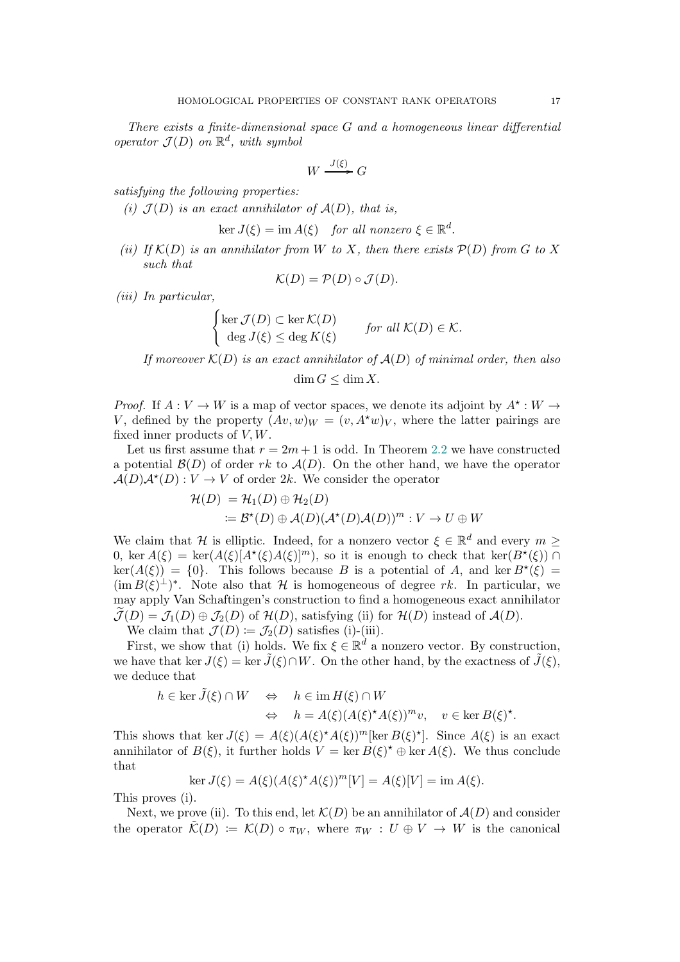There exists a finite-dimensional space G and a homogeneous linear differential operator  $\mathcal{J}(D)$  on  $\mathbb{R}^d$ , with symbol

$$
W \xrightarrow{J(\xi)} G
$$

satisfying the following properties:

(i)  $\mathcal{J}(D)$  is an exact annihilator of  $\mathcal{A}(D)$ , that is,

$$
\ker J(\xi) = \operatorname{im} A(\xi) \quad \text{for all nonzero } \xi \in \mathbb{R}^d.
$$

(ii) If  $K(D)$  is an annihilator from W to X, then there exists  $\mathcal{P}(D)$  from G to X such that

$$
\mathcal{K}(D) = \mathcal{P}(D) \circ \mathcal{J}(D).
$$

(iii) In particular,

$$
\begin{cases}\n\ker \mathcal{J}(D) \subset \ker \mathcal{K}(D) & \text{for all } \mathcal{K}(D) \in \mathcal{K}.\n\end{cases}
$$
\n
$$
\deg J(\xi) \le \deg K(\xi) \qquad \text{for all } \mathcal{K}(D) \in \mathcal{K}.
$$

If moreover  $\mathcal{K}(D)$  is an exact annihilator of  $\mathcal{A}(D)$  of minimal order, then also

$$
\dim G \le \dim X.
$$

*Proof.* If  $A: V \to W$  is a map of vector spaces, we denote its adjoint by  $A^* : W \to W$ V, defined by the property  $(Av, w)_W = (v, A^*w)_V$ , where the latter pairings are fixed inner products of  $V, W$ .

Let us first assume that  $r = 2m + 1$  is odd. In Theorem [2.2](#page-5-1) we have constructed a potential  $\mathcal{B}(D)$  of order rk to  $\mathcal{A}(D)$ . On the other hand, we have the operator  $\mathcal{A}(D)\mathcal{A}^{\star}(D): V \to V$  of order 2k. We consider the operator

$$
\mathcal{H}(D) = \mathcal{H}_1(D) \oplus \mathcal{H}_2(D)
$$
  
 :=  $\mathcal{B}^*(D) \oplus \mathcal{A}(D)(\mathcal{A}^*(D)\mathcal{A}(D))^m : V \to U \oplus W$ 

We claim that H is elliptic. Indeed, for a nonzero vector  $\xi \in \mathbb{R}^d$  and every  $m \geq$ 0, ker  $A(\xi) = \ker(A(\xi)[A^*(\xi)A(\xi)]^m)$ , so it is enough to check that  $\ker(B^*(\xi)) \cap$  $\ker(A(\xi)) = \{0\}.$  This follows because B is a potential of A, and  $\ker B^{\star}(\xi) =$  $(\operatorname{im} B(\xi)^{\perp})^*$ . Note also that H is homogeneous of degree rk. In particular, we may apply Van Schaftingen's construction to find a homogeneous exact annihilator  $\mathcal{J}(D) = \mathcal{J}_1(D) \oplus \mathcal{J}_2(D)$  of  $\mathcal{H}(D)$ , satisfying (ii) for  $\mathcal{H}(D)$  instead of  $\mathcal{A}(D)$ .

We claim that  $\mathcal{J}(D) := \mathcal{J}_2(D)$  satisfies (i)-(iii).

First, we show that (i) holds. We fix  $\xi \in \mathbb{R}^d$  a nonzero vector. By construction, we have that ker  $J(\xi) = \ker \tilde{J}(\xi) \cap W$ . On the other hand, by the exactness of  $\tilde{J}(\xi)$ . we deduce that

$$
h \in \ker \tilde{J}(\xi) \cap W \quad \Leftrightarrow \quad h \in \operatorname{im} H(\xi) \cap W
$$
  

$$
\Leftrightarrow \quad h = A(\xi) (A(\xi)^* A(\xi))^m v, \quad v \in \ker B(\xi)^*.
$$

This shows that ker  $J(\xi) = A(\xi) (A(\xi)^* A(\xi))^m$  [ker  $B(\xi)^*$ ]. Since  $A(\xi)$  is an exact annihilator of  $B(\xi)$ , it further holds  $V = \ker B(\xi)^* \oplus \ker A(\xi)$ . We thus conclude that

$$
\ker J(\xi) = A(\xi)(A(\xi)^* A(\xi))^m [V] = A(\xi)[V] = \text{im } A(\xi).
$$

This proves (i).

Next, we prove (ii). To this end, let  $\mathcal{K}(D)$  be an annihilator of  $\mathcal{A}(D)$  and consider the operator  $\mathcal{K}(D) := \mathcal{K}(D) \circ \pi_W$ , where  $\pi_W : U \oplus V \to W$  is the canonical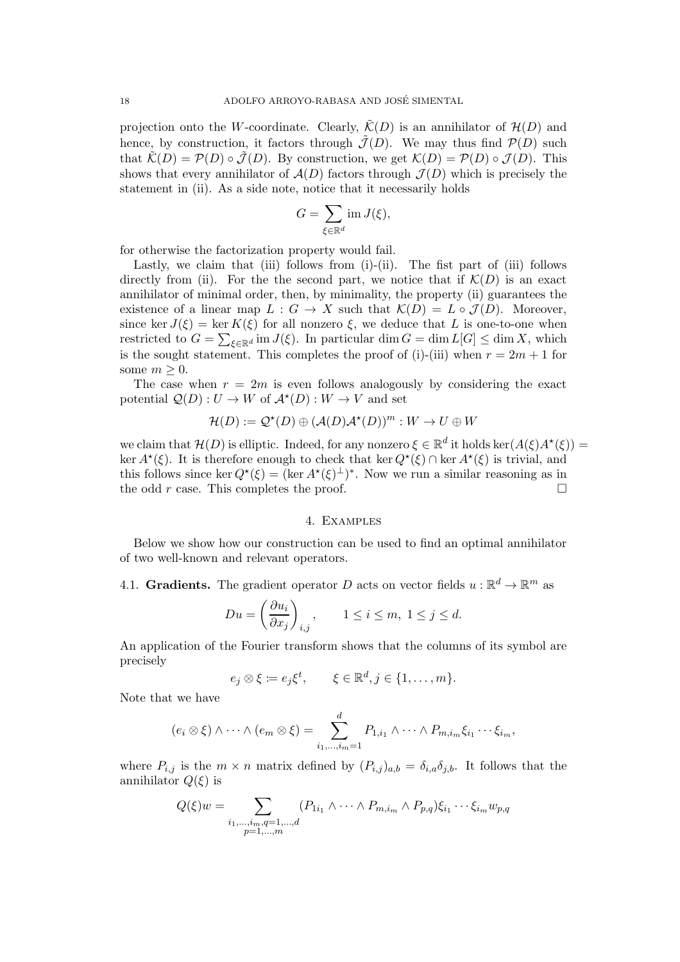projection onto the W-coordinate. Clearly,  $\tilde{\mathcal{K}}(D)$  is an annihilator of  $\mathcal{H}(D)$  and hence, by construction, it factors through  $\tilde{\mathcal{J}}(D)$ . We may thus find  $\mathcal{P}(D)$  such that  $\tilde{\mathcal{K}}(D) = \mathcal{P}(D) \circ \tilde{\mathcal{J}}(D)$ . By construction, we get  $\mathcal{K}(D) = \mathcal{P}(D) \circ \mathcal{J}(D)$ . This shows that every annihilator of  $\mathcal{A}(D)$  factors through  $\mathcal{J}(D)$  which is precisely the statement in (ii). As a side note, notice that it necessarily holds

$$
G = \sum_{\xi \in \mathbb{R}^d} \operatorname{im} J(\xi),
$$

for otherwise the factorization property would fail.

Lastly, we claim that (iii) follows from  $(i)-(ii)$ . The fist part of (iii) follows directly from (ii). For the the second part, we notice that if  $\mathcal{K}(D)$  is an exact annihilator of minimal order, then, by minimality, the property (ii) guarantees the existence of a linear map  $L : G \to X$  such that  $\mathcal{K}(D) = L \circ \mathcal{J}(D)$ . Moreover, since ker  $J(\xi) = \ker K(\xi)$  for all nonzero  $\xi$ , we deduce that L is one-to-one when restricted to  $G = \sum_{\xi \in \mathbb{R}^d} \text{im } J(\xi)$ . In particular  $\dim G = \dim L[G] \leq \dim X$ , which is the sought statement. This completes the proof of (i)-(iii) when  $r = 2m + 1$  for some  $m \geq 0$ .

The case when  $r = 2m$  is even follows analogously by considering the exact potential  $Q(D): U \to W$  of  $\mathcal{A}^*(D): W \to V$  and set

$$
\mathcal{H}(D) := \mathcal{Q}^*(D) \oplus (\mathcal{A}(D)\mathcal{A}^*(D))^m : W \to U \oplus W
$$

we claim that  $\mathcal{H}(D)$  is elliptic. Indeed, for any nonzero  $\xi \in \mathbb{R}^d$  it holds ker $(A(\xi)A^*(\xi)) =$ ker  $A^{\star}(\xi)$ . It is therefore enough to check that ker  $Q^{\star}(\xi) \cap \ker A^{\star}(\xi)$  is trivial, and this follows since ker  $Q^*(\xi) = (\ker A^*(\xi)^{\perp})^*$ . Now we run a similar reasoning as in the odd r case. This completes the proof.  $\Box$ 

## 4. Examples

<span id="page-17-0"></span>Below we show how our construction can be used to find an optimal annihilator of two well-known and relevant operators.

4.1. Gradients. The gradient operator D acts on vector fields  $u : \mathbb{R}^d \to \mathbb{R}^m$  as

$$
Du = \left(\frac{\partial u_i}{\partial x_j}\right)_{i,j}, \qquad 1 \le i \le m, \ 1 \le j \le d.
$$

An application of the Fourier transform shows that the columns of its symbol are precisely

$$
e_j \otimes \xi := e_j \xi^t, \qquad \xi \in \mathbb{R}^d, j \in \{1, \ldots, m\}.
$$

Note that we have

$$
(e_i \otimes \xi) \wedge \cdots \wedge (e_m \otimes \xi) = \sum_{i_1,\ldots,i_m=1}^d P_{1,i_1} \wedge \cdots \wedge P_{m,i_m} \xi_{i_1} \cdots \xi_{i_m},
$$

where  $P_{i,j}$  is the  $m \times n$  matrix defined by  $(P_{i,j})_{a,b} = \delta_{i,a} \delta_{j,b}$ . It follows that the annihilator  $Q(\xi)$  is

$$
Q(\xi)w = \sum_{\substack{i_1,\dots,i_m,q=1,\dots,d\\p=1,\dots,m}} (P_{1i_1} \wedge \dots \wedge P_{m,i_m} \wedge P_{p,q})\xi_{i_1} \cdots \xi_{i_m} w_{p,q}
$$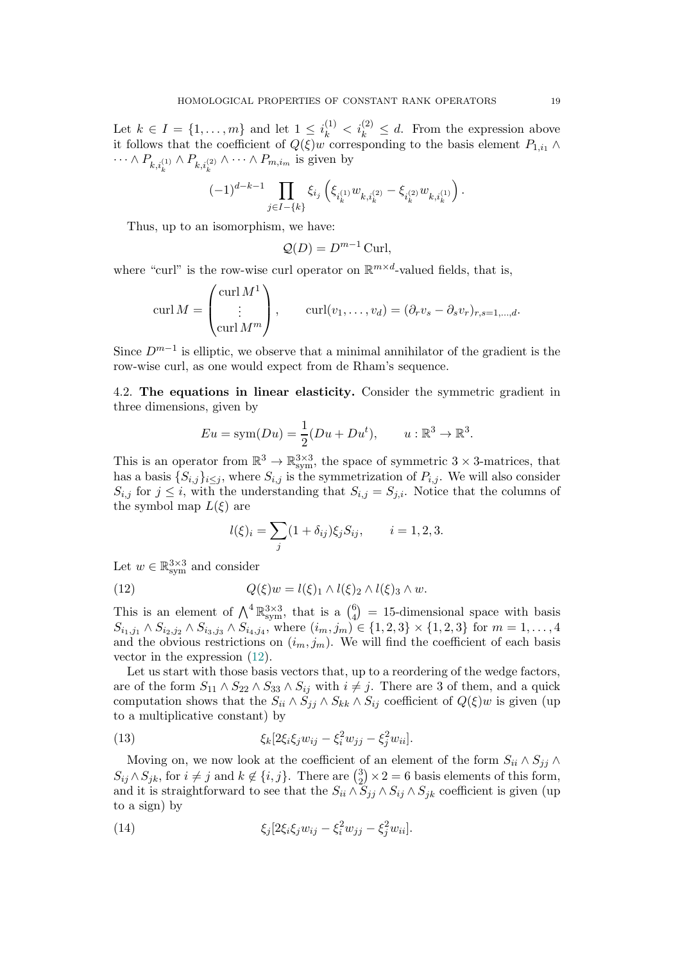Let  $k \in I = \{1, \ldots, m\}$  and let  $1 \leq i_k^{(1)} < i_k^{(2)} \leq d$ . From the expression above it follows that the coefficient of  $Q(\xi)w$  corresponding to the basis element  $P_{1,i_1} \wedge$  $\cdots \wedge P_{k,i_k^{(1)}} \wedge P_{k,i_k^{(2)}} \wedge \cdots \wedge P_{m,i_m}$  is given by

$$
(-1)^{d-k-1}\prod_{j\in I-\{k\}}\xi_{i_j}\left(\xi_{i_k^{(1)}}w_{k,i_k^{(2)}}-\xi_{i_k^{(2)}}w_{k,i_k^{(1)}}\right).
$$

Thus, up to an isomorphism, we have:

$$
\mathcal{Q}(D) = D^{m-1} \operatorname{Curl},
$$

where "curl" is the row-wise curl operator on  $\mathbb{R}^{m \times d}$ -valued fields, that is,

$$
\operatorname{curl} M = \begin{pmatrix} \operatorname{curl} M^1 \\ \vdots \\ \operatorname{curl} M^m \end{pmatrix}, \qquad \operatorname{curl}(v_1, \dots, v_d) = (\partial_r v_s - \partial_s v_r)_{r, s = 1, \dots, d}.
$$

Since  $D^{m-1}$  is elliptic, we observe that a minimal annihilator of the gradient is the row-wise curl, as one would expect from de Rham's sequence.

4.2. The equations in linear elasticity. Consider the symmetric gradient in three dimensions, given by

$$
Eu = \text{sym}(Du) = \frac{1}{2}(Du + Du^t), \qquad u: \mathbb{R}^3 \to \mathbb{R}^3.
$$

This is an operator from  $\mathbb{R}^3 \to \mathbb{R}^{3\times 3}_{sym}$ , the space of symmetric  $3 \times 3$ -matrices, that has a basis  $\{S_{i,j}\}_{i\leq j}$ , where  $S_{i,j}$  is the symmetrization of  $P_{i,j}$ . We will also consider  $S_{i,j}$  for  $j \leq i$ , with the understanding that  $S_{i,j} = S_{j,i}$ . Notice that the columns of the symbol map  $L(\xi)$  are

<span id="page-18-0"></span>
$$
l(\xi)_i = \sum_j (1 + \delta_{ij}) \xi_j S_{ij}, \qquad i = 1, 2, 3.
$$

Let  $w \in \mathbb{R}^{3\times 3}_{sym}$  and consider

(12) 
$$
Q(\xi)w = l(\xi)_1 \wedge l(\xi)_2 \wedge l(\xi)_3 \wedge w.
$$

This is an element of  $\bigwedge^4 \mathbb{R}^{3 \times 3}_{sym}$ , that is a  $\binom{6}{4}$  $_{4}^{6}$  = 15-dimensional space with basis  $S_{i_1,j_1} \wedge S_{i_2,j_2} \wedge S_{i_3,j_3} \wedge S_{i_4,j_4}$ , where  $(i_m, j_m) \in \{1, 2, 3\} \times \{1, 2, 3\}$  for  $m = 1, ..., 4$ and the obvious restrictions on  $(i_m, j_m)$ . We will find the coefficient of each basis vector in the expression [\(12\)](#page-18-0).

Let us start with those basis vectors that, up to a reordering of the wedge factors, are of the form  $S_{11} \wedge S_{22} \wedge S_{33} \wedge S_{ij}$  with  $i \neq j$ . There are 3 of them, and a quick computation shows that the  $S_{ii} \wedge \check{S}_{jj} \wedge S_{kk} \wedge S_{ij}$  coefficient of  $Q(\xi)w$  is given (up to a multiplicative constant) by

<span id="page-18-1"></span>(13) 
$$
\xi_k[2\xi_i\xi_jw_{ij} - \xi_i^2w_{jj} - \xi_j^2w_{ii}].
$$

Moving on, we now look at the coefficient of an element of the form  $S_{ii} \wedge S_{jj} \wedge$  $S_{ij} \wedge S_{jk}$ , for  $i \neq j$  and  $k \notin \{i, j\}$ . There are  $\binom{3}{2}$  $\binom{3}{2} \times 2 = 6$  basis elements of this form, and it is straightforward to see that the  $S_{ii} \wedge S_{jj} \wedge S_{ij} \wedge S_{jk}$  coefficient is given (up to a sign) by

<span id="page-18-2"></span>(14) 
$$
\xi_j[2\xi_i\xi_jw_{ij} - \xi_i^2w_{jj} - \xi_j^2w_{ii}].
$$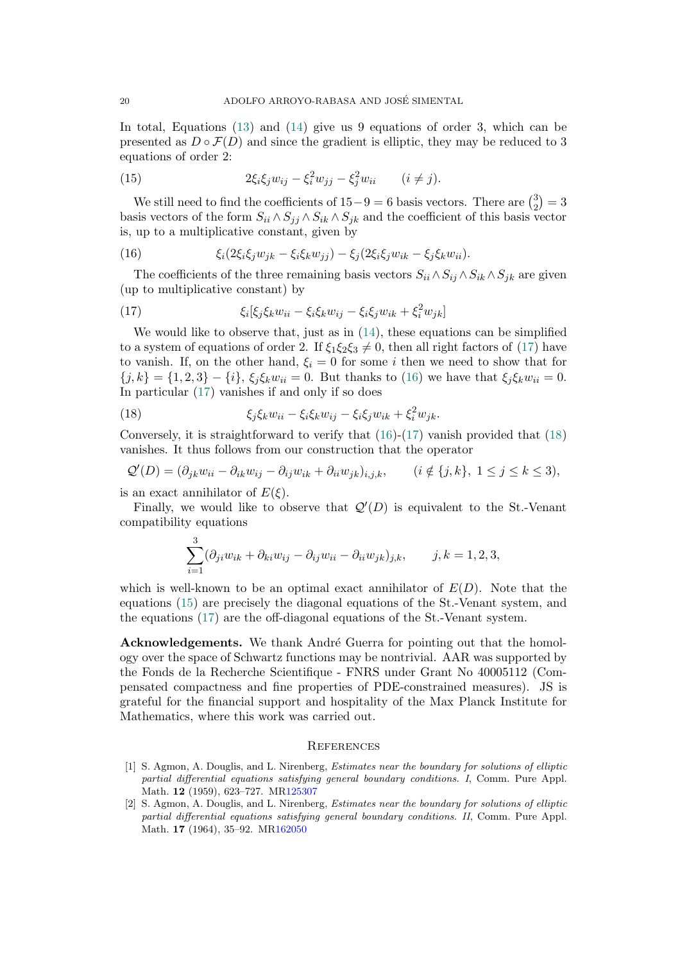In total, Equations [\(13\)](#page-18-1) and [\(14\)](#page-18-2) give us 9 equations of order 3, which can be presented as  $D \circ \mathcal{F}(D)$  and since the gradient is elliptic, they may be reduced to 3 equations of order 2:

<span id="page-19-5"></span>(15) 
$$
2\xi_i \xi_j w_{ij} - \xi_i^2 w_{jj} - \xi_j^2 w_{ii} \qquad (i \neq j).
$$

We still need to find the coefficients of  $15-9=6$  basis vectors. There are  $\binom{3}{2}$  $_{2}^{3})=3$ basis vectors of the form  $S_{ii} \wedge S_{jj} \wedge S_{ik} \wedge S_{jk}$  and the coefficient of this basis vector is, up to a multiplicative constant, given by

<span id="page-19-3"></span>(16) 
$$
\xi_i(2\xi_i\xi_j w_{jk} - \xi_i\xi_k w_{jj}) - \xi_j(2\xi_i\xi_j w_{ik} - \xi_j\xi_k w_{ii}).
$$

The coefficients of the three remaining basis vectors  $S_{ii} \wedge S_{ii} \wedge S_{ik} \wedge S_{jk}$  are given (up to multiplicative constant) by

<span id="page-19-2"></span>(17) 
$$
\xi_i[\xi_j \xi_k w_{ii} - \xi_i \xi_k w_{ij} - \xi_i \xi_j w_{ik} + \xi_i^2 w_{jk}]
$$

We would like to observe that, just as in  $(14)$ , these equations can be simplified to a system of equations of order 2. If  $\xi_1 \xi_2 \xi_3 \neq 0$ , then all right factors of [\(17\)](#page-19-2) have to vanish. If, on the other hand,  $\xi_i = 0$  for some i then we need to show that for  ${j, k} = {1, 2, 3} - {i}$ ,  $\xi_j \xi_k w_{ii} = 0$ . But thanks to [\(16\)](#page-19-3) we have that  $\xi_j \xi_k w_{ii} = 0$ . In particular [\(17\)](#page-19-2) vanishes if and only if so does

<span id="page-19-4"></span>(18) 
$$
\xi_j \xi_k w_{ii} - \xi_i \xi_k w_{ij} - \xi_i \xi_j w_{ik} + \xi_i^2 w_{jk}.
$$

Conversely, it is straightforward to verify that  $(16)-(17)$  $(16)-(17)$  vanish provided that  $(18)$ vanishes. It thus follows from our construction that the operator

$$
\mathcal{Q}'(D) = (\partial_{jk} w_{ii} - \partial_{ik} w_{ij} - \partial_{ij} w_{ik} + \partial_{ii} w_{jk})_{i,j,k}, \qquad (i \notin \{j,k\}, 1 \le j \le k \le 3),
$$

is an exact annihilator of  $E(\xi)$ .

Finally, we would like to observe that  $\mathcal{Q}'(D)$  is equivalent to the St.-Venant compatibility equations

$$
\sum_{i=1}^{3} (\partial_{ji} w_{ik} + \partial_{ki} w_{ij} - \partial_{ij} w_{ii} - \partial_{ii} w_{jk})_{j,k}, \qquad j, k = 1, 2, 3,
$$

which is well-known to be an optimal exact annihilator of  $E(D)$ . Note that the equations [\(15\)](#page-19-5) are precisely the diagonal equations of the St.-Venant system, and the equations [\(17\)](#page-19-2) are the off-diagonal equations of the St.-Venant system.

Acknowledgements. We thank André Guerra for pointing out that the homology over the space of Schwartz functions may be nontrivial. AAR was supported by the Fonds de la Recherche Scientifique - FNRS under Grant No 40005112 (Compensated compactness and fine properties of PDE-constrained measures). JS is grateful for the financial support and hospitality of the Max Planck Institute for Mathematics, where this work was carried out.

## <span id="page-19-0"></span>**REFERENCES**

- <span id="page-19-1"></span>[1] S. Agmon, A. Douglis, and L. Nirenberg, Estimates near the boundary for solutions of elliptic partial differential equations satisfying general boundary conditions. I, Comm. Pure Appl. Math. 12 (1959), 623–727. M[R125307](http://www.ams.org/mathscinet-getitem?mr=125307)
- [2] S. Agmon, A. Douglis, and L. Nirenberg, Estimates near the boundary for solutions of elliptic partial differential equations satisfying general boundary conditions. II, Comm. Pure Appl. Math. 17 (1964), 35–92. M[R162050](http://www.ams.org/mathscinet-getitem?mr=162050)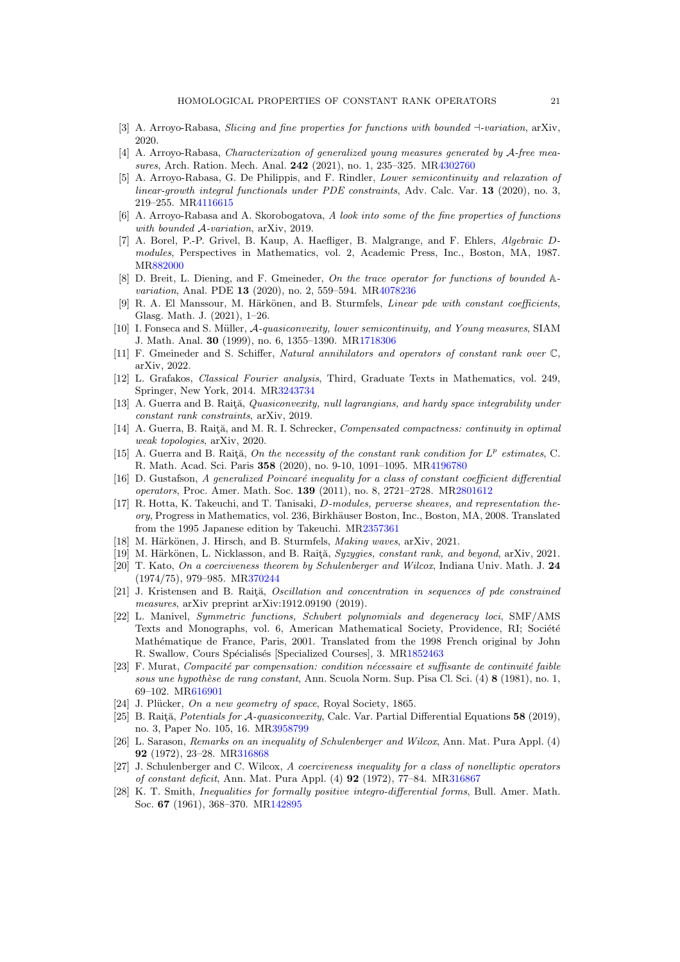- <span id="page-20-18"></span>[3] A. Arroyo-Rabasa, Slicing and fine properties for functions with bounded ⊣-variation, arXiv, 2020.
- <span id="page-20-8"></span>[4] A. Arroyo-Rabasa, Characterization of generalized young measures generated by A-free measures, Arch. Ration. Mech. Anal. 242 (2021), no. 1, 235–325. M[R4302760](http://www.ams.org/mathscinet-getitem?mr=4302760)
- <span id="page-20-5"></span>[5] A. Arroyo-Rabasa, G. De Philippis, and F. Rindler, Lower semicontinuity and relaxation of linear-growth integral functionals under PDE constraints, Adv. Calc. Var. 13 (2020), no. 3, 219–255. M[R4116615](http://www.ams.org/mathscinet-getitem?mr=4116615)
- <span id="page-20-19"></span>[6] A. Arroyo-Rabasa and A. Skorobogatova, A look into some of the fine properties of functions with bounded A-variation,  $\frac{1}{2019}$ .
- <span id="page-20-15"></span>[7] A. Borel, P.-P. Grivel, B. Kaup, A. Haefliger, B. Malgrange, and F. Ehlers, Algebraic Dmodules, Perspectives in Mathematics, vol. 2, Academic Press, Inc., Boston, MA, 1987. M[R882000](http://www.ams.org/mathscinet-getitem?mr=882000)
- <span id="page-20-20"></span>[8] D. Breit, L. Diening, and F. Gmeineder, On the trace operator for functions of bounded  $\mathbb{A}$ -variation, Anal. PDE 13 (2020), no. 2, 559–594. M[R4078236](http://www.ams.org/mathscinet-getitem?mr=4078236)
- <span id="page-20-13"></span>[9] R. A. El Manssour, M. Härkönen, and B. Sturmfels, *Linear pde with constant coefficients*, Glasg. Math. J. (2021), 1–26.
- <span id="page-20-4"></span>[10] I. Fonseca and S. Müller, A-quasiconvexity, lower semicontinuity, and Young measures, SIAM J. Math. Anal. 30 (1999), no. 6, 1355–1390. M[R1718306](http://www.ams.org/mathscinet-getitem?mr=1718306)
- <span id="page-20-21"></span>[11] F. Gmeineder and S. Schiffer, Natural annihilators and operators of constant rank over C, arXiv, 2022.
- <span id="page-20-25"></span>[12] L. Grafakos, Classical Fourier analysis, Third, Graduate Texts in Mathematics, vol. 249, Springer, New York, 2014. M[R3243734](http://www.ams.org/mathscinet-getitem?mr=3243734)
- <span id="page-20-9"></span>[13] A. Guerra and B. Raită, Quasiconvexity, null lagrangians, and hardy space integrability under constant rank constraints, arXiv, 2019.
- <span id="page-20-10"></span>[14] A. Guerra, B. Raitä, and M. R. I. Schrecker, Compensated compactness: continuity in optimal weak topologies, arXiv, 2020.
- <span id="page-20-6"></span>[15] A. Guerra and B. Raita, On the necessity of the constant rank condition for  $L^p$  estimates, C. R. Math. Acad. Sci. Paris 358 (2020), no. 9-10, 1091–1095. M[R4196780](http://www.ams.org/mathscinet-getitem?mr=4196780)
- <span id="page-20-12"></span>[16] D. Gustafson, A generalized Poincaré inequality for a class of constant coefficient differential operators, Proc. Amer. Math. Soc. 139 (2011), no. 8, 2721–2728. M[R2801612](http://www.ams.org/mathscinet-getitem?mr=2801612)
- <span id="page-20-16"></span>[17] R. Hotta, K. Takeuchi, and T. Tanisaki, D-modules, perverse sheaves, and representation theory, Progress in Mathematics, vol. 236, Birkhäuser Boston, Inc., Boston, MA, 2008. Translated from the 1995 Japanese edition by Takeuchi. M[R2357361](http://www.ams.org/mathscinet-getitem?mr=2357361)
- <span id="page-20-17"></span>[18] M. Härkönen, J. Hirsch, and B. Sturmfels, *Making waves*, arXiv, 2021.
- <span id="page-20-14"></span>[19] M. Härkönen, L. Nicklasson, and B. Raită, Syzygies, constant rank, and beyond, arXiv, 2021.
- <span id="page-20-1"></span>[20] T. Kato, On a coerciveness theorem by Schulenberger and Wilcox, Indiana Univ. Math. J. 24 (1974/75), 979–985. M[R370244](http://www.ams.org/mathscinet-getitem?mr=370244)
- <span id="page-20-11"></span>[21] J. Kristensen and B. Raitz, Oscillation and concentration in sequences of pde constrained measures, arXiv preprint arXiv:1912.09190 (2019).
- <span id="page-20-23"></span>[22] L. Manivel, Symmetric functions, Schubert polynomials and degeneracy loci, SMF/AMS Texts and Monographs, vol. 6, American Mathematical Society, Providence, RI; Société Mathématique de France, Paris, 2001. Translated from the 1998 French original by John R. Swallow, Cours Spécialisés [Specialized Courses], 3. M[R1852463](http://www.ams.org/mathscinet-getitem?mr=1852463)
- <span id="page-20-3"></span> $[23]$  F. Murat, Compacité par compensation: condition nécessaire et suffisante de continuité faible sous une hypothèse de rang constant, Ann. Scuola Norm. Sup. Pisa Cl. Sci. (4)  $8$  (1981), no. 1, 69–102. M[R616901](http://www.ams.org/mathscinet-getitem?mr=616901)
- <span id="page-20-24"></span>[24] J. Plücker, On a new geometry of space, Royal Society, 1865.
- <span id="page-20-7"></span>[25] B. Raitja, Potentials for A-quasiconvexity, Calc. Var. Partial Differential Equations 58 (2019), no. 3, Paper No. 105, 16. M[R3958799](http://www.ams.org/mathscinet-getitem?mr=3958799)
- <span id="page-20-2"></span>[26] L. Sarason, Remarks on an inequality of Schulenberger and Wilcox, Ann. Mat. Pura Appl. (4) 92 (1972), 23–28. M[R316868](http://www.ams.org/mathscinet-getitem?mr=316868)
- <span id="page-20-0"></span>[27] J. Schulenberger and C. Wilcox, A coerciveness inequality for a class of nonelliptic operators of constant deficit, Ann. Mat. Pura Appl. (4) 92 (1972), 77–84. M[R316867](http://www.ams.org/mathscinet-getitem?mr=316867)
- <span id="page-20-22"></span>[28] K. T. Smith, Inequalities for formally positive integro-differential forms, Bull. Amer. Math. Soc. 67 (1961), 368–370. M[R142895](http://www.ams.org/mathscinet-getitem?mr=142895)